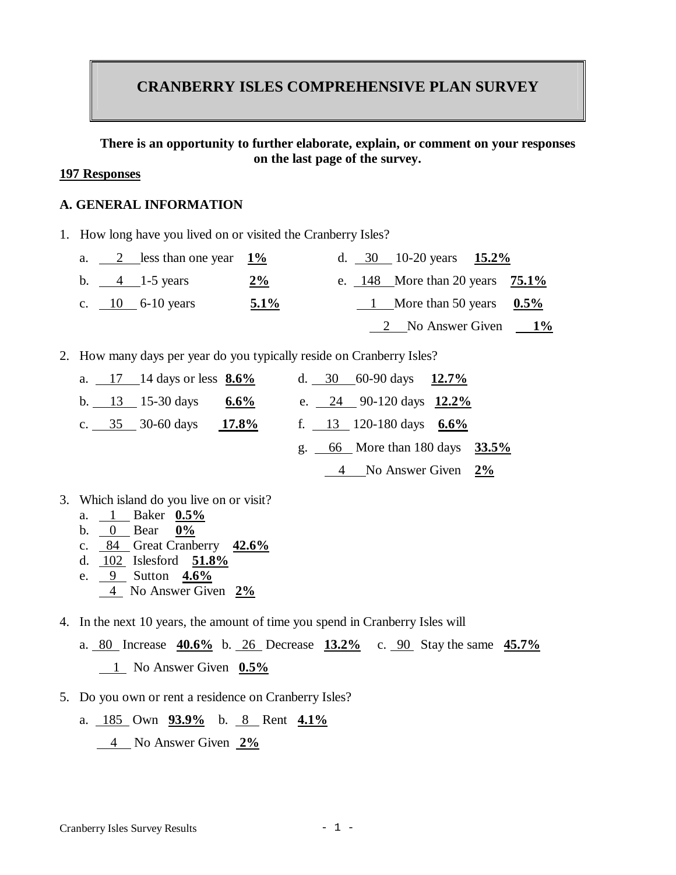# **CRANBERRY ISLES COMPREHENSIVE PLAN SURVEY**

#### **There is an opportunity to further elaborate, explain, or comment on your responses on the last page of the survey.**

#### **197 Responses**

#### **A. GENERAL INFORMATION**

1. How long have you lived on or visited the Cranberry Isles?

|  | a. $2$ less than one year $1\%$ |         |  | d. $30 \t 10-20 \text{ years} \t 15.2\%$          |  |
|--|---------------------------------|---------|--|---------------------------------------------------|--|
|  | b. $4 \t-1-5 \text{ years}$     | $2\%$   |  | e. $148$ More than 20 years $75.1\%$              |  |
|  | c. $10$ 6-10 years              | $5.1\%$ |  | 1 More than 50 years $0.5\%$                      |  |
|  |                                 |         |  | $\frac{2}{1\%}$ No Answer Given $\frac{1\%}{1\%}$ |  |

2. How many days per year do you typically reside on Cranberry Isles?

|  | a. $\frac{17}{14}$ days or less $\frac{8.6\%}{14}$ |         |  | d. $30\quad 60-90 \text{ days} \quad \frac{12.7\%}{12.7\%}$ |  |
|--|----------------------------------------------------|---------|--|-------------------------------------------------------------|--|
|  | b. $13 \overline{)15-30}$ days                     | $6.6\%$ |  | e. $24$ 90-120 days $12.2\%$                                |  |
|  | c. $35 \overline{)30}$ -60 days 17.8%              |         |  | f. 13 120-180 days $6.6\%$                                  |  |
|  |                                                    |         |  | g. $66$ More than 180 days $33.5\%$                         |  |
|  |                                                    |         |  | $\frac{4}{2\%}$ No Answer Given $\frac{2\%}{2\%}$           |  |

- 3. Which island do you live on or visit?
	- a. 1 Baker **0.5%**
	- b. 0 Bear **0%**
	- c. 84 Great Cranberry **42.6%**
	- d. 102 Islesford **51.8%**
	- e. 9 Sutton **4.6%**
	- 4 No Answer Given **2%**
- 4. In the next 10 years, the amount of time you spend in Cranberry Isles will
	- a. 80 Increase **40.6%** b. 26 Decrease **13.2%** c. 90 Stay the same **45.7%** 1 No Answer Given **0.5%**
- 5. Do you own or rent a residence on Cranberry Isles?
	- a. 185 Own **93.9%** b. 8 Rent **4.1%** 4 No Answer Given **2%**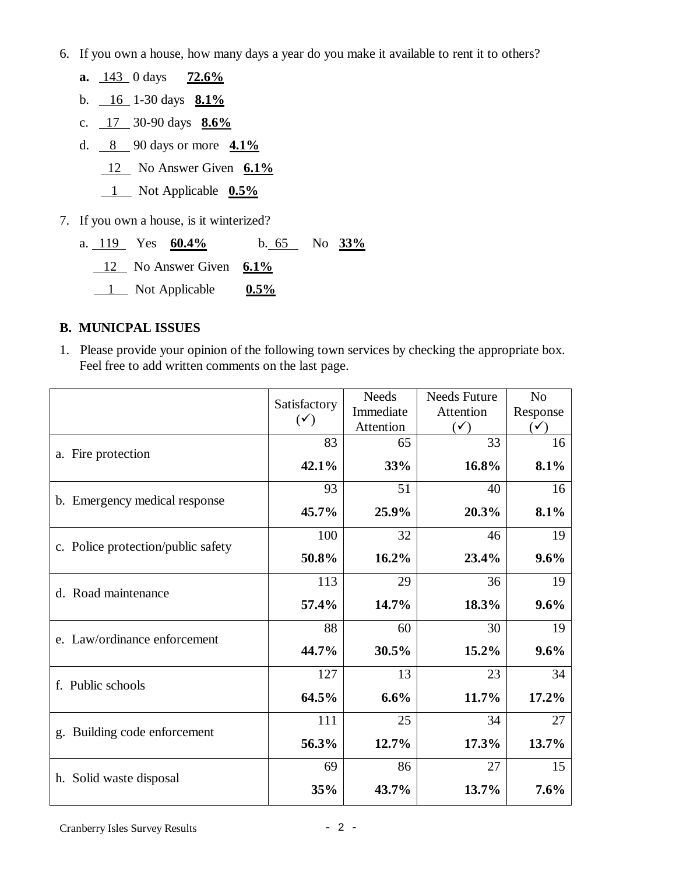- 6. If you own a house, how many days a year do you make it available to rent it to others?
- **a.** 143 0 days **72.6%** b. 16 1-30 days **8.1%** c. 17 30-90 days **8.6%** d. 8 90 days or more **4.1%** 12 No Answer Given **6.1%** 1 Not Applicable **0.5%** 7. If you own a house, is it winterized? a. 119 Yes **60.4%** b. 65 No **33%**
	- 12 No Answer Given **6.1%** 1 Not Applicable **0.5%**

### **B. MUNICPAL ISSUES**

1. Please provide your opinion of the following town services by checking the appropriate box. Feel free to add written comments on the last page.

|                                                           | Satisfactory   | <b>Needs</b> | <b>Needs Future</b>                                                                                                                  | N <sub>o</sub> |
|-----------------------------------------------------------|----------------|--------------|--------------------------------------------------------------------------------------------------------------------------------------|----------------|
|                                                           | $(\checkmark)$ | Immediate    |                                                                                                                                      | Response       |
|                                                           |                | Attention    |                                                                                                                                      | $(\checkmark)$ |
| a. Fire protection                                        | 83             | 65           |                                                                                                                                      | 16             |
|                                                           | 42.1%          | 33%          | 16.8%                                                                                                                                | 8.1%           |
|                                                           | 93             | 51           | 40                                                                                                                                   | 16             |
| b. Emergency medical response                             | 45.7%          | 25.9%        | Attention<br>$(\checkmark)$<br>33<br>20.3%<br>46<br>23.4%<br>36<br>18.3%<br>30<br>15.2%<br>23<br>11.7%<br>34<br>17.3%<br>27<br>13.7% | 8.1%           |
|                                                           | 100            | 32           |                                                                                                                                      | 19             |
| c. Police protection/public safety<br>d. Road maintenance | 50.8%          | 16.2%        |                                                                                                                                      | 9.6%           |
|                                                           | 113            | 29           |                                                                                                                                      | 19             |
|                                                           | 57.4%          | 14.7%        | 60                                                                                                                                   | 9.6%           |
|                                                           | 88             |              |                                                                                                                                      | 19             |
| e. Law/ordinance enforcement                              | 44.7%          | 30.5%        |                                                                                                                                      | 9.6%           |
|                                                           | 127            | 13           |                                                                                                                                      | 34             |
| f. Public schools                                         | 64.5%          | 6.6%         |                                                                                                                                      | 17.2%          |
|                                                           | 111            | 25           |                                                                                                                                      | 27             |
| g. Building code enforcement                              | 56.3%          | 12.7%        |                                                                                                                                      | 13.7%          |
|                                                           | 69             | 86           |                                                                                                                                      | 15             |
| h. Solid waste disposal                                   | 35%            | 43.7%        |                                                                                                                                      | 7.6%           |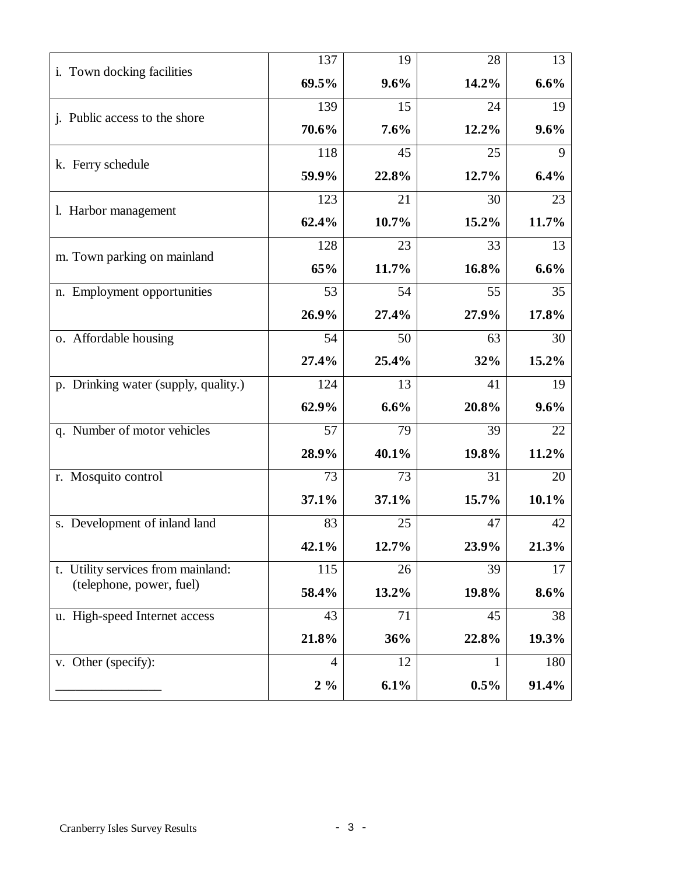| i. Town docking facilities<br>69.5%<br>9.6%<br>14.2%<br>6.6%<br>139<br>15<br>24<br>19<br>j. Public access to the shore<br>70.6%<br>7.6%<br>12.2%<br>9.6%<br>118<br>45<br>25<br>9<br>k. Ferry schedule<br>12.7%<br>6.4%<br>59.9%<br>22.8%<br>123<br>21<br>30<br>23<br>1. Harbor management<br>62.4%<br>10.7%<br>15.2%<br>11.7%<br>128<br>33<br>23<br>13<br>m. Town parking on mainland<br>65%<br>16.8%<br>6.6%<br>11.7%<br>53<br>35<br>n. Employment opportunities<br>54<br>55<br>26.9%<br>27.4%<br>17.8%<br>27.9%<br>o. Affordable housing<br>54<br>50<br>63<br>30<br>27.4%<br>25.4%<br>32%<br>15.2%<br>p. Drinking water (supply, quality.)<br>124<br>13<br>41<br>19<br>62.9%<br>6.6%<br>20.8%<br>9.6%<br>q. Number of motor vehicles<br>57<br>39<br>79<br>22<br>40.1%<br>28.9%<br>19.8%<br>11.2%<br>31<br>r. Mosquito control<br>73<br>73<br>20<br>37.1%<br>15.7%<br>10.1%<br>37.1%<br>s. Development of inland land<br>83<br>25<br>47<br>42<br>42.1%<br>12.7%<br>23.9%<br>21.3%<br>t. Utility services from mainland:<br>115<br>26<br>39<br>17<br>(telephone, power, fuel)<br>58.4%<br>13.2%<br>8.6%<br>19.8%<br>u. High-speed Internet access<br>71<br>43<br>45<br>38<br>36%<br>22.8%<br>19.3%<br>21.8%<br>v. Other (specify):<br>180<br>12<br>4<br>1<br>6.1%<br>91.4%<br>$2\%$<br>0.5% | 137 | 19 | 28 | 13 |
|---------------------------------------------------------------------------------------------------------------------------------------------------------------------------------------------------------------------------------------------------------------------------------------------------------------------------------------------------------------------------------------------------------------------------------------------------------------------------------------------------------------------------------------------------------------------------------------------------------------------------------------------------------------------------------------------------------------------------------------------------------------------------------------------------------------------------------------------------------------------------------------------------------------------------------------------------------------------------------------------------------------------------------------------------------------------------------------------------------------------------------------------------------------------------------------------------------------------------------------------------------------------------------------------|-----|----|----|----|
|                                                                                                                                                                                                                                                                                                                                                                                                                                                                                                                                                                                                                                                                                                                                                                                                                                                                                                                                                                                                                                                                                                                                                                                                                                                                                             |     |    |    |    |
|                                                                                                                                                                                                                                                                                                                                                                                                                                                                                                                                                                                                                                                                                                                                                                                                                                                                                                                                                                                                                                                                                                                                                                                                                                                                                             |     |    |    |    |
|                                                                                                                                                                                                                                                                                                                                                                                                                                                                                                                                                                                                                                                                                                                                                                                                                                                                                                                                                                                                                                                                                                                                                                                                                                                                                             |     |    |    |    |
|                                                                                                                                                                                                                                                                                                                                                                                                                                                                                                                                                                                                                                                                                                                                                                                                                                                                                                                                                                                                                                                                                                                                                                                                                                                                                             |     |    |    |    |
|                                                                                                                                                                                                                                                                                                                                                                                                                                                                                                                                                                                                                                                                                                                                                                                                                                                                                                                                                                                                                                                                                                                                                                                                                                                                                             |     |    |    |    |
|                                                                                                                                                                                                                                                                                                                                                                                                                                                                                                                                                                                                                                                                                                                                                                                                                                                                                                                                                                                                                                                                                                                                                                                                                                                                                             |     |    |    |    |
|                                                                                                                                                                                                                                                                                                                                                                                                                                                                                                                                                                                                                                                                                                                                                                                                                                                                                                                                                                                                                                                                                                                                                                                                                                                                                             |     |    |    |    |
|                                                                                                                                                                                                                                                                                                                                                                                                                                                                                                                                                                                                                                                                                                                                                                                                                                                                                                                                                                                                                                                                                                                                                                                                                                                                                             |     |    |    |    |
|                                                                                                                                                                                                                                                                                                                                                                                                                                                                                                                                                                                                                                                                                                                                                                                                                                                                                                                                                                                                                                                                                                                                                                                                                                                                                             |     |    |    |    |
|                                                                                                                                                                                                                                                                                                                                                                                                                                                                                                                                                                                                                                                                                                                                                                                                                                                                                                                                                                                                                                                                                                                                                                                                                                                                                             |     |    |    |    |
|                                                                                                                                                                                                                                                                                                                                                                                                                                                                                                                                                                                                                                                                                                                                                                                                                                                                                                                                                                                                                                                                                                                                                                                                                                                                                             |     |    |    |    |
|                                                                                                                                                                                                                                                                                                                                                                                                                                                                                                                                                                                                                                                                                                                                                                                                                                                                                                                                                                                                                                                                                                                                                                                                                                                                                             |     |    |    |    |
|                                                                                                                                                                                                                                                                                                                                                                                                                                                                                                                                                                                                                                                                                                                                                                                                                                                                                                                                                                                                                                                                                                                                                                                                                                                                                             |     |    |    |    |
|                                                                                                                                                                                                                                                                                                                                                                                                                                                                                                                                                                                                                                                                                                                                                                                                                                                                                                                                                                                                                                                                                                                                                                                                                                                                                             |     |    |    |    |
|                                                                                                                                                                                                                                                                                                                                                                                                                                                                                                                                                                                                                                                                                                                                                                                                                                                                                                                                                                                                                                                                                                                                                                                                                                                                                             |     |    |    |    |
|                                                                                                                                                                                                                                                                                                                                                                                                                                                                                                                                                                                                                                                                                                                                                                                                                                                                                                                                                                                                                                                                                                                                                                                                                                                                                             |     |    |    |    |
|                                                                                                                                                                                                                                                                                                                                                                                                                                                                                                                                                                                                                                                                                                                                                                                                                                                                                                                                                                                                                                                                                                                                                                                                                                                                                             |     |    |    |    |
|                                                                                                                                                                                                                                                                                                                                                                                                                                                                                                                                                                                                                                                                                                                                                                                                                                                                                                                                                                                                                                                                                                                                                                                                                                                                                             |     |    |    |    |
|                                                                                                                                                                                                                                                                                                                                                                                                                                                                                                                                                                                                                                                                                                                                                                                                                                                                                                                                                                                                                                                                                                                                                                                                                                                                                             |     |    |    |    |
|                                                                                                                                                                                                                                                                                                                                                                                                                                                                                                                                                                                                                                                                                                                                                                                                                                                                                                                                                                                                                                                                                                                                                                                                                                                                                             |     |    |    |    |
|                                                                                                                                                                                                                                                                                                                                                                                                                                                                                                                                                                                                                                                                                                                                                                                                                                                                                                                                                                                                                                                                                                                                                                                                                                                                                             |     |    |    |    |
|                                                                                                                                                                                                                                                                                                                                                                                                                                                                                                                                                                                                                                                                                                                                                                                                                                                                                                                                                                                                                                                                                                                                                                                                                                                                                             |     |    |    |    |
|                                                                                                                                                                                                                                                                                                                                                                                                                                                                                                                                                                                                                                                                                                                                                                                                                                                                                                                                                                                                                                                                                                                                                                                                                                                                                             |     |    |    |    |
|                                                                                                                                                                                                                                                                                                                                                                                                                                                                                                                                                                                                                                                                                                                                                                                                                                                                                                                                                                                                                                                                                                                                                                                                                                                                                             |     |    |    |    |
|                                                                                                                                                                                                                                                                                                                                                                                                                                                                                                                                                                                                                                                                                                                                                                                                                                                                                                                                                                                                                                                                                                                                                                                                                                                                                             |     |    |    |    |
|                                                                                                                                                                                                                                                                                                                                                                                                                                                                                                                                                                                                                                                                                                                                                                                                                                                                                                                                                                                                                                                                                                                                                                                                                                                                                             |     |    |    |    |
|                                                                                                                                                                                                                                                                                                                                                                                                                                                                                                                                                                                                                                                                                                                                                                                                                                                                                                                                                                                                                                                                                                                                                                                                                                                                                             |     |    |    |    |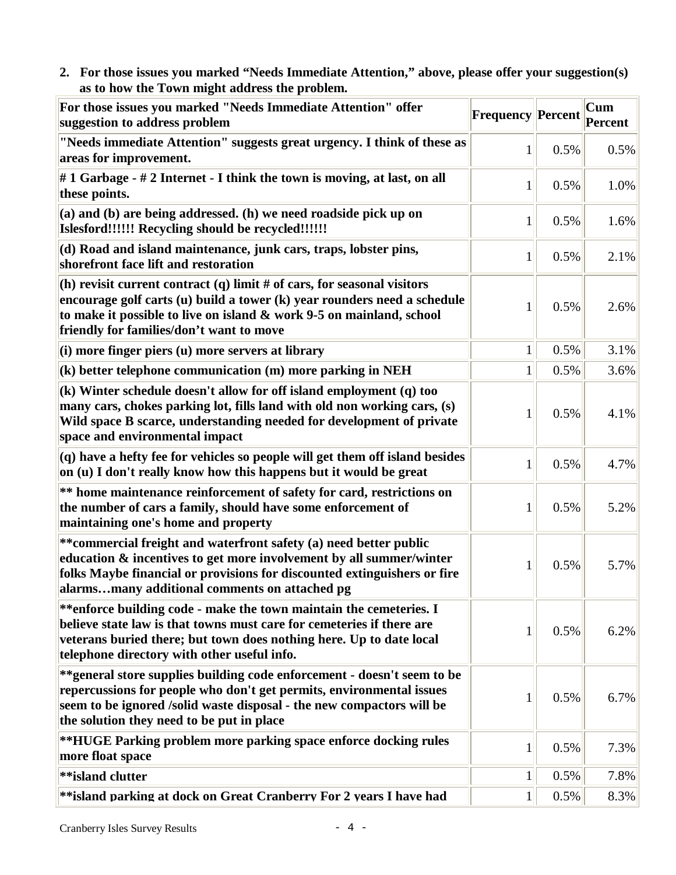**2. For those issues you marked "Needs Immediate Attention," above, please offer your suggestion(s) as to how the Town might address the problem.** 

| For those issues you marked "Needs Immediate Attention" offer<br>suggestion to address problem                                                                                                                                                                          | <b>Frequency Percent</b> |      | Cum<br>Percent |
|-------------------------------------------------------------------------------------------------------------------------------------------------------------------------------------------------------------------------------------------------------------------------|--------------------------|------|----------------|
| "Needs immediate Attention" suggests great urgency. I think of these as<br>areas for improvement.                                                                                                                                                                       | 1                        | 0.5% | 0.5%           |
| #1 Garbage - #2 Internet - I think the town is moving, at last, on all<br>these points.                                                                                                                                                                                 | 1                        | 0.5% | 1.0%           |
| (a) and (b) are being addressed. (h) we need roadside pick up on<br>Islesford!!!!!! Recycling should be recycled!!!!!!                                                                                                                                                  | 1                        | 0.5% | 1.6%           |
| (d) Road and island maintenance, junk cars, traps, lobster pins,<br>shorefront face lift and restoration                                                                                                                                                                | $\mathbf{1}$             | 0.5% | 2.1%           |
| (h) revisit current contract (q) limit # of cars, for seasonal visitors<br>encourage golf carts (u) build a tower (k) year rounders need a schedule<br>to make it possible to live on island & work 9-5 on mainland, school<br>friendly for families/don't want to move |                          | 0.5% | 2.6%           |
| $(i)$ more finger piers $(u)$ more servers at library                                                                                                                                                                                                                   | $\mathbf{1}$             | 0.5% | 3.1%           |
| $(k)$ better telephone communication $(m)$ more parking in NEH                                                                                                                                                                                                          | $\mathbf{1}$             | 0.5% | 3.6%           |
| $(k)$ Winter schedule doesn't allow for off island employment $(q)$ too<br>many cars, chokes parking lot, fills land with old non working cars, (s)<br>Wild space B scarce, understanding needed for development of private<br>space and environmental impact           | 1                        | 0.5% | 4.1%           |
| $(q)$ have a hefty fee for vehicles so people will get them off island besides<br>on (u) I don't really know how this happens but it would be great                                                                                                                     | $\mathbf{1}$             | 0.5% | 4.7%           |
| ** home maintenance reinforcement of safety for card, restrictions on<br>the number of cars a family, should have some enforcement of<br>maintaining one's home and property                                                                                            | 1                        | 0.5% | 5.2%           |
| **commercial freight and waterfront safety (a) need better public<br>education & incentives to get more involvement by all summer/winter<br>folks Maybe financial or provisions for discounted extinguishers or fire<br>alarmsmany additional comments on attached pg   | 1                        | 0.5% | 5.7%           |
| **enforce building code - make the town maintain the cemeteries. I<br>believe state law is that towns must care for cemeteries if there are<br>veterans buried there; but town does nothing here. Up to date local<br>telephone directory with other useful info.       | 1                        | 0.5% | 6.2%           |
| ** general store supplies building code enforcement - doesn't seem to be<br>repercussions for people who don't get permits, environmental issues<br>seem to be ignored /solid waste disposal - the new compactors will be<br>the solution they need to be put in place  | 1                        | 0.5% | 6.7%           |
| **HUGE Parking problem more parking space enforce docking rules<br>more float space                                                                                                                                                                                     | $\mathbf{1}$             | 0.5% | 7.3%           |
| **island clutter                                                                                                                                                                                                                                                        | $\mathbf{1}$             | 0.5% | 7.8%           |
| **island parking at dock on Great Cranberry For 2 years I have had                                                                                                                                                                                                      | $\mathbf{1}$             | 0.5% | 8.3%           |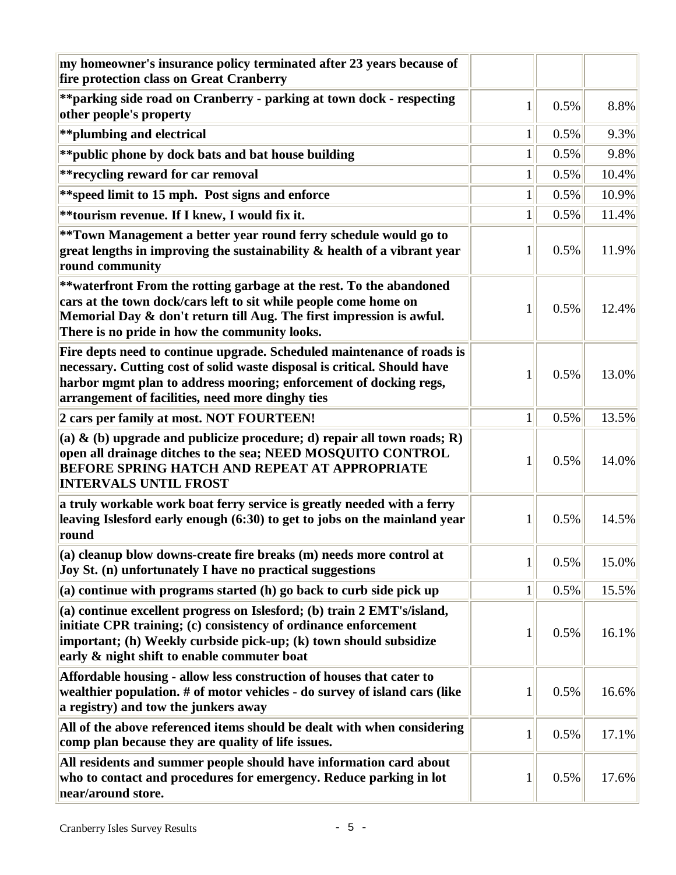| my homeowner's insurance policy terminated after 23 years because of<br>fire protection class on Great Cranberry                                                                                                                                                            |              |      |       |
|-----------------------------------------------------------------------------------------------------------------------------------------------------------------------------------------------------------------------------------------------------------------------------|--------------|------|-------|
| **parking side road on Cranberry - parking at town dock - respecting<br>other people's property                                                                                                                                                                             | 1            | 0.5% | 8.8%  |
| ** plumbing and electrical                                                                                                                                                                                                                                                  | 1            | 0.5% | 9.3%  |
| ** public phone by dock bats and bat house building                                                                                                                                                                                                                         | $\mathbf{1}$ | 0.5% | 9.8%  |
| ** recycling reward for car removal                                                                                                                                                                                                                                         | $\mathbf{1}$ | 0.5% | 10.4% |
| ** speed limit to 15 mph. Post signs and enforce                                                                                                                                                                                                                            | $\mathbf{1}$ | 0.5% | 10.9% |
| **tourism revenue. If I knew, I would fix it.                                                                                                                                                                                                                               | $\mathbf{1}$ | 0.5% | 11.4% |
| **Town Management a better year round ferry schedule would go to<br>great lengths in improving the sustainability $\&$ health of a vibrant year<br>round community                                                                                                          | 1            | 0.5% | 11.9% |
| **waterfront From the rotting garbage at the rest. To the abandoned<br>cars at the town dock/cars left to sit while people come home on<br>Memorial Day & don't return till Aug. The first impression is awful.<br>There is no pride in how the community looks.            | 1            | 0.5% | 12.4% |
| Fire depts need to continue upgrade. Scheduled maintenance of roads is<br>necessary. Cutting cost of solid waste disposal is critical. Should have<br>harbor mgmt plan to address mooring; enforcement of docking regs,<br>arrangement of facilities, need more dinghy ties | 1            | 0.5% | 13.0% |
| 2 cars per family at most. NOT FOURTEEN!                                                                                                                                                                                                                                    | $\mathbf{1}$ | 0.5% | 13.5% |
| (a) $\&$ (b) upgrade and publicize procedure; d) repair all town roads; R)<br>open all drainage ditches to the sea; NEED MOSQUITO CONTROL<br><b>BEFORE SPRING HATCH AND REPEAT AT APPROPRIATE</b><br><b>INTERVALS UNTIL FROST</b>                                           | 1            | 0.5% | 14.0% |
| a truly workable work boat ferry service is greatly needed with a ferry<br>leaving Islesford early enough (6:30) to get to jobs on the mainland year<br>round                                                                                                               | 1            | 0.5% | 14.5% |
| (a) cleanup blow downs-create fire breaks (m) needs more control at<br>Joy St. (n) unfortunately I have no practical suggestions                                                                                                                                            | $\mathbf{1}$ | 0.5% | 15.0% |
| $(a)$ continue with programs started $(h)$ go back to curb side pick up                                                                                                                                                                                                     | $\mathbf{1}$ | 0.5% | 15.5% |
| (a) continue excellent progress on Islesford; (b) train 2 EMT's/island,<br>initiate CPR training; (c) consistency of ordinance enforcement<br>important; (h) Weekly curbside pick-up; (k) town should subsidize<br>early & night shift to enable commuter boat              | $\mathbf 1$  | 0.5% | 16.1% |
| Affordable housing - allow less construction of houses that cater to<br>wealthier population. # of motor vehicles - do survey of island cars (like<br>a registry) and tow the junkers away                                                                                  | 1            | 0.5% | 16.6% |
| All of the above referenced items should be dealt with when considering<br>comp plan because they are quality of life issues.                                                                                                                                               | 1            | 0.5% | 17.1% |
| All residents and summer people should have information card about<br>who to contact and procedures for emergency. Reduce parking in lot<br>near/around store.                                                                                                              | 1            | 0.5% | 17.6% |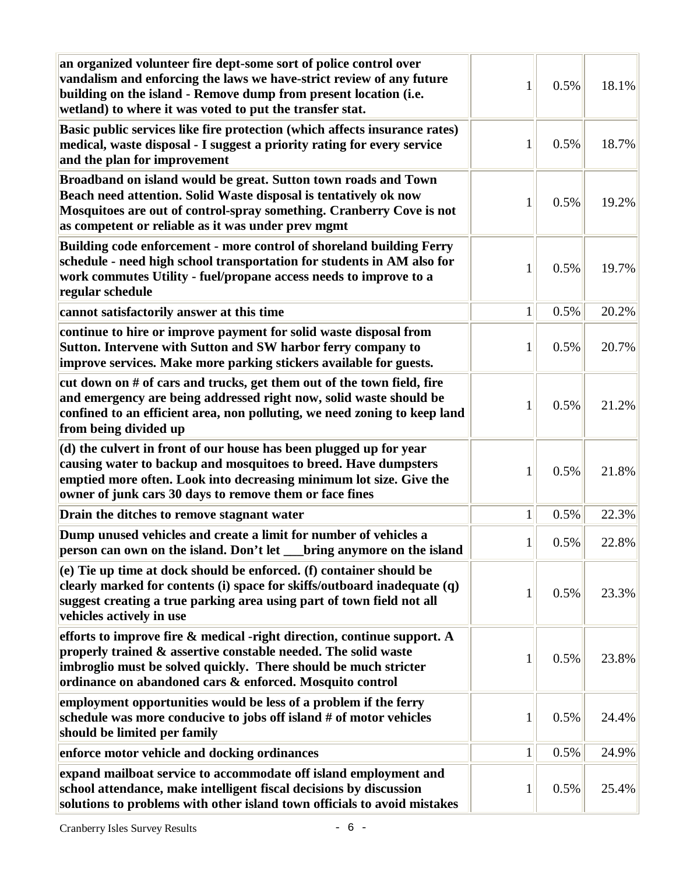| an organized volunteer fire dept-some sort of police control over<br>vandalism and enforcing the laws we have-strict review of any future<br>building on the island - Remove dump from present location (i.e.<br>wetland) to where it was voted to put the transfer stat. | 1            | 0.5% | 18.1% |
|---------------------------------------------------------------------------------------------------------------------------------------------------------------------------------------------------------------------------------------------------------------------------|--------------|------|-------|
| Basic public services like fire protection (which affects insurance rates)<br>medical, waste disposal - I suggest a priority rating for every service<br>and the plan for improvement                                                                                     | 1            | 0.5% | 18.7% |
| Broadband on island would be great. Sutton town roads and Town<br>Beach need attention. Solid Waste disposal is tentatively ok now<br>Mosquitoes are out of control-spray something. Cranberry Cove is not<br>as competent or reliable as it was under prev mgmt          | 1            | 0.5% | 19.2% |
| Building code enforcement - more control of shoreland building Ferry<br>schedule - need high school transportation for students in AM also for<br>work commutes Utility - fuel/propane access needs to improve to a<br>regular schedule                                   | 1            | 0.5% | 19.7% |
| cannot satisfactorily answer at this time                                                                                                                                                                                                                                 | $\mathbf{1}$ | 0.5% | 20.2% |
| continue to hire or improve payment for solid waste disposal from<br>Sutton. Intervene with Sutton and SW harbor ferry company to<br>improve services. Make more parking stickers available for guests.                                                                   | 1            | 0.5% | 20.7% |
| cut down on # of cars and trucks, get them out of the town field, fire<br>and emergency are being addressed right now, solid waste should be<br>confined to an efficient area, non polluting, we need zoning to keep land<br>from being divided up                        | 1            | 0.5% | 21.2% |
| (d) the culvert in front of our house has been plugged up for year<br>causing water to backup and mosquitoes to breed. Have dumpsters<br>emptied more often. Look into decreasing minimum lot size. Give the<br>owner of junk cars 30 days to remove them or face fines   | 1            | 0.5% | 21.8% |
| Drain the ditches to remove stagnant water                                                                                                                                                                                                                                | $\mathbf{1}$ | 0.5% | 22.3% |
| Dump unused vehicles and create a limit for number of vehicles a<br>person can own on the island. Don't let __bring anymore on the island                                                                                                                                 | $\mathbf{1}$ | 0.5% | 22.8% |
| $(e)$ Tie up time at dock should be enforced. (f) container should be<br>clearly marked for contents (i) space for skiffs/outboard inadequate (q)<br>suggest creating a true parking area using part of town field not all<br>vehicles actively in use                    | 1            | 0.5% | 23.3% |
| efforts to improve fire & medical -right direction, continue support. A<br>properly trained & assertive constable needed. The solid waste<br>imbroglio must be solved quickly. There should be much stricter<br>ordinance on abandoned cars & enforced. Mosquito control  | 1            | 0.5% | 23.8% |
| employment opportunities would be less of a problem if the ferry<br>schedule was more conducive to jobs off island # of motor vehicles<br>should be limited per family                                                                                                    | 1            | 0.5% | 24.4% |
| enforce motor vehicle and docking ordinances                                                                                                                                                                                                                              | $\mathbf{1}$ | 0.5% | 24.9% |
| expand mailboat service to accommodate off island employment and<br>school attendance, make intelligent fiscal decisions by discussion<br>solutions to problems with other island town officials to avoid mistakes                                                        | $\mathbf 1$  | 0.5% | 25.4% |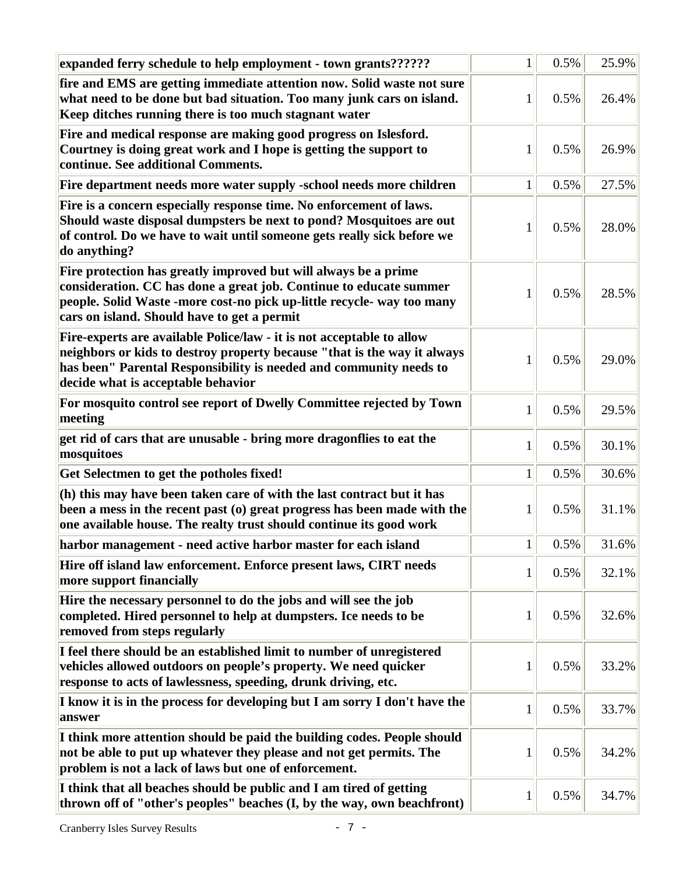| expanded ferry schedule to help employment - town grants??????                                                                                                                                                                                                 | $\mathbf{1}$ | 0.5% | 25.9% |
|----------------------------------------------------------------------------------------------------------------------------------------------------------------------------------------------------------------------------------------------------------------|--------------|------|-------|
| fire and EMS are getting immediate attention now. Solid waste not sure<br>what need to be done but bad situation. Too many junk cars on island.<br>Keep ditches running there is too much stagnant water                                                       | 1            | 0.5% | 26.4% |
| Fire and medical response are making good progress on Islesford.<br>Courtney is doing great work and I hope is getting the support to<br>continue. See additional Comments.                                                                                    | 1            | 0.5% | 26.9% |
| Fire department needs more water supply -school needs more children                                                                                                                                                                                            | $\mathbf{1}$ | 0.5% | 27.5% |
| Fire is a concern especially response time. No enforcement of laws.<br>Should waste disposal dumpsters be next to pond? Mosquitoes are out<br>of control. Do we have to wait until someone gets really sick before we<br>do anything?                          | 1            | 0.5% | 28.0% |
| Fire protection has greatly improved but will always be a prime<br>consideration. CC has done a great job. Continue to educate summer<br>people. Solid Waste -more cost-no pick up-little recycle- way too many<br>cars on island. Should have to get a permit | 1            | 0.5% | 28.5% |
| Fire-experts are available Police/law - it is not acceptable to allow<br>neighbors or kids to destroy property because "that is the way it always<br>has been" Parental Responsibility is needed and community needs to<br>decide what is acceptable behavior  | 1            | 0.5% | 29.0% |
| For mosquito control see report of Dwelly Committee rejected by Town<br>meeting                                                                                                                                                                                | $\mathbf{1}$ | 0.5% | 29.5% |
| get rid of cars that are unusable - bring more dragonflies to eat the<br>mosquitoes                                                                                                                                                                            | 1            | 0.5% | 30.1% |
| Get Selectmen to get the potholes fixed!                                                                                                                                                                                                                       | $\mathbf{1}$ | 0.5% | 30.6% |
| (h) this may have been taken care of with the last contract but it has<br>been a mess in the recent past (o) great progress has been made with the<br>one available house. The realty trust should continue its good work                                      | 1            | 0.5% | 31.1% |
| harbor management - need active harbor master for each island                                                                                                                                                                                                  | $\mathbf{1}$ | 0.5% | 31.6% |
| Hire off island law enforcement. Enforce present laws, CIRT needs<br>more support financially                                                                                                                                                                  | $\mathbf{1}$ | 0.5% | 32.1% |
| Hire the necessary personnel to do the jobs and will see the job<br>completed. Hired personnel to help at dumpsters. Ice needs to be<br>removed from steps regularly                                                                                           | 1            | 0.5% | 32.6% |
| I feel there should be an established limit to number of unregistered<br>vehicles allowed outdoors on people's property. We need quicker<br>response to acts of lawlessness, speeding, drunk driving, etc.                                                     | 1            | 0.5% | 33.2% |
| I know it is in the process for developing but I am sorry I don't have the<br>answer                                                                                                                                                                           | $\mathbf{1}$ | 0.5% | 33.7% |
| I think more attention should be paid the building codes. People should<br>not be able to put up whatever they please and not get permits. The<br>problem is not a lack of laws but one of enforcement.                                                        | 1            | 0.5% | 34.2% |
| I think that all beaches should be public and I am tired of getting<br>thrown off of "other's peoples" beaches (I, by the way, own beachfront)                                                                                                                 | 1            | 0.5% | 34.7% |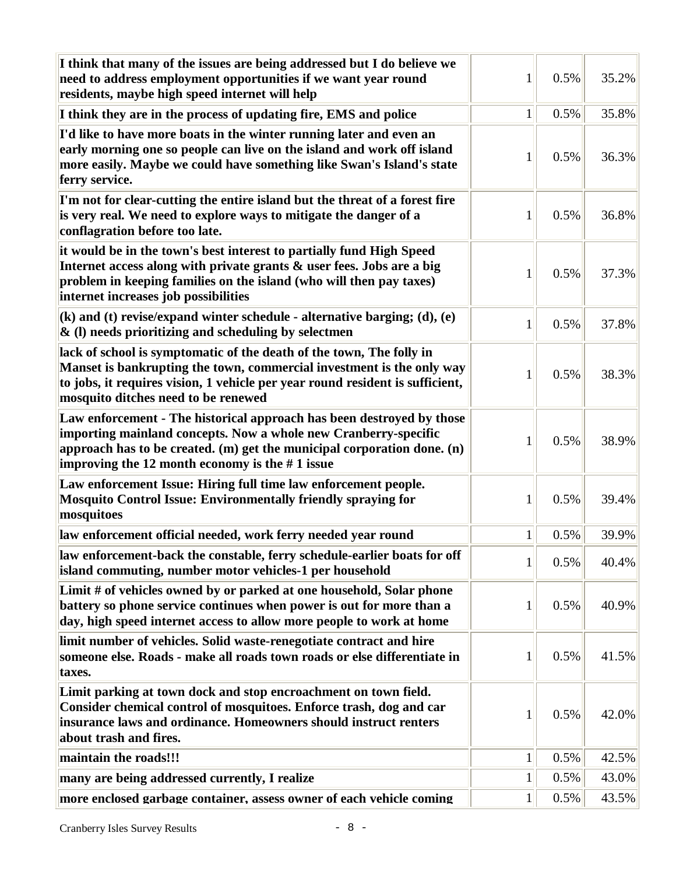| I think that many of the issues are being addressed but I do believe we<br>need to address employment opportunities if we want year round<br>residents, maybe high speed internet will help                                                                                 | 1            | 0.5% | 35.2% |
|-----------------------------------------------------------------------------------------------------------------------------------------------------------------------------------------------------------------------------------------------------------------------------|--------------|------|-------|
| I think they are in the process of updating fire, EMS and police                                                                                                                                                                                                            | $\mathbf{1}$ | 0.5% | 35.8% |
| I'd like to have more boats in the winter running later and even an<br>early morning one so people can live on the island and work off island<br>more easily. Maybe we could have something like Swan's Island's state<br>ferry service.                                    | 1            | 0.5% | 36.3% |
| I'm not for clear-cutting the entire island but the threat of a forest fire<br>is very real. We need to explore ways to mitigate the danger of a<br>conflagration before too late.                                                                                          | 1            | 0.5% | 36.8% |
| it would be in the town's best interest to partially fund High Speed<br>Internet access along with private grants & user fees. Jobs are a big<br>problem in keeping families on the island (who will then pay taxes)<br>internet increases job possibilities                | 1            | 0.5% | 37.3% |
| $(k)$ and (t) revise/expand winter schedule - alternative barging; (d), (e)<br>& (l) needs prioritizing and scheduling by selectmen                                                                                                                                         | $\mathbf{1}$ | 0.5% | 37.8% |
| lack of school is symptomatic of the death of the town, The folly in<br>Manset is bankrupting the town, commercial investment is the only way<br>to jobs, it requires vision, 1 vehicle per year round resident is sufficient,<br>mosquito ditches need to be renewed       | 1            | 0.5% | 38.3% |
| Law enforcement - The historical approach has been destroyed by those<br>importing mainland concepts. Now a whole new Cranberry-specific<br>approach has to be created. $(m)$ get the municipal corporation done. $(n)$<br>improving the 12 month economy is the $#1$ issue | 1            | 0.5% | 38.9% |
| Law enforcement Issue: Hiring full time law enforcement people.<br><b>Mosquito Control Issue: Environmentally friendly spraying for</b><br>mosquitoes                                                                                                                       | 1            | 0.5% | 39.4% |
| law enforcement official needed, work ferry needed year round                                                                                                                                                                                                               | $\mathbf{1}$ | 0.5% | 39.9% |
| law enforcement-back the constable, ferry schedule-earlier boats for off<br>island commuting, number motor vehicles-1 per household                                                                                                                                         | $\mathbf{1}$ | 0.5% | 40.4% |
| Limit # of vehicles owned by or parked at one household, Solar phone<br>battery so phone service continues when power is out for more than a<br>day, high speed internet access to allow more people to work at home                                                        | 1            | 0.5% | 40.9% |
| limit number of vehicles. Solid waste-renegotiate contract and hire<br>someone else. Roads - make all roads town roads or else differentiate in<br>taxes.                                                                                                                   | 1            | 0.5% | 41.5% |
| Limit parking at town dock and stop encroachment on town field.<br>Consider chemical control of mosquitoes. Enforce trash, dog and car<br>insurance laws and ordinance. Homeowners should instruct renters<br>about trash and fires.                                        | $\mathbf 1$  | 0.5% | 42.0% |
| maintain the roads!!!                                                                                                                                                                                                                                                       | $\mathbf{1}$ | 0.5% | 42.5% |
| many are being addressed currently, I realize                                                                                                                                                                                                                               | $\mathbf{1}$ | 0.5% | 43.0% |
| more enclosed garbage container, assess owner of each vehicle coming                                                                                                                                                                                                        | $\mathbf{1}$ | 0.5% | 43.5% |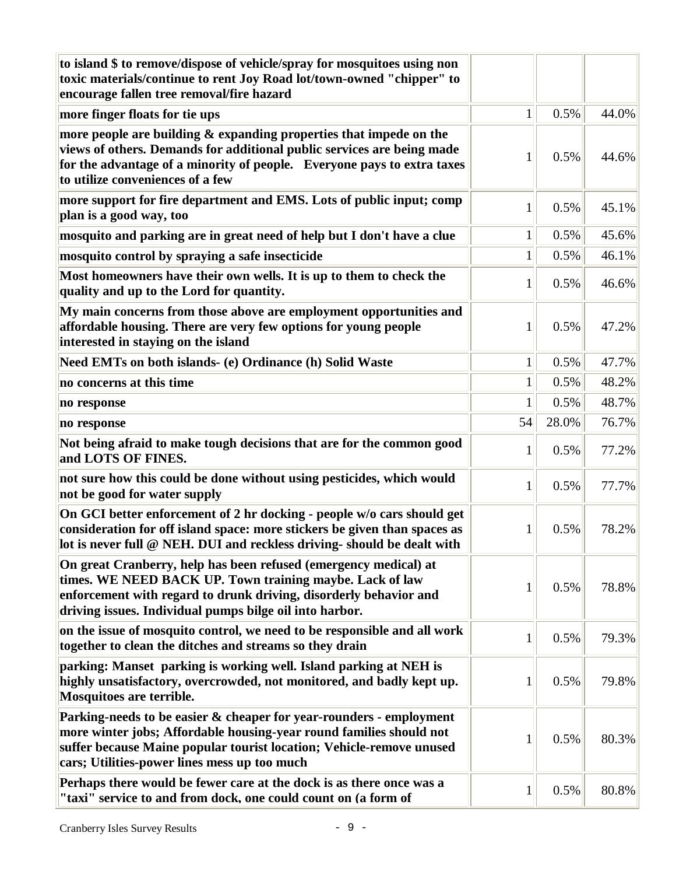| to island \$ to remove/dispose of vehicle/spray for mosquitoes using non<br>toxic materials/continue to rent Joy Road lot/town-owned "chipper" to<br>encourage fallen tree removal/fire hazard                                                                     |              |       |       |
|--------------------------------------------------------------------------------------------------------------------------------------------------------------------------------------------------------------------------------------------------------------------|--------------|-------|-------|
| more finger floats for tie ups                                                                                                                                                                                                                                     | 1            | 0.5%  | 44.0% |
| more people are building & expanding properties that impede on the<br>views of others. Demands for additional public services are being made<br>for the advantage of a minority of people. Everyone pays to extra taxes<br>to utilize conveniences of a few        | 1            | 0.5%  | 44.6% |
| more support for fire department and EMS. Lots of public input; comp<br>plan is a good way, too                                                                                                                                                                    | 1            | 0.5%  | 45.1% |
| mosquito and parking are in great need of help but I don't have a clue                                                                                                                                                                                             | $\mathbf{1}$ | 0.5%  | 45.6% |
| mosquito control by spraying a safe insecticide                                                                                                                                                                                                                    | $\mathbf{1}$ | 0.5%  | 46.1% |
| Most homeowners have their own wells. It is up to them to check the<br>quality and up to the Lord for quantity.                                                                                                                                                    | 1            | 0.5%  | 46.6% |
| My main concerns from those above are employment opportunities and<br>affordable housing. There are very few options for young people<br>interested in staying on the island                                                                                       | 1            | 0.5%  | 47.2% |
| Need EMTs on both islands- (e) Ordinance (h) Solid Waste                                                                                                                                                                                                           | $\mathbf{1}$ | 0.5%  | 47.7% |
| no concerns at this time                                                                                                                                                                                                                                           | $\mathbf{1}$ | 0.5%  | 48.2% |
| no response                                                                                                                                                                                                                                                        | $\mathbf{1}$ | 0.5%  | 48.7% |
| no response                                                                                                                                                                                                                                                        | 54           | 28.0% | 76.7% |
| Not being afraid to make tough decisions that are for the common good<br>and LOTS OF FINES.                                                                                                                                                                        | 1            | 0.5%  | 77.2% |
| not sure how this could be done without using pesticides, which would<br>not be good for water supply                                                                                                                                                              | 1            | 0.5%  | 77.7% |
| On GCI better enforcement of 2 hr docking - people w/o cars should get<br>consideration for off island space: more stickers be given than spaces as<br>lot is never full @ NEH. DUI and reckless driving- should be dealt with                                     | 1            | 0.5%  | 78.2% |
| On great Cranberry, help has been refused (emergency medical) at<br>times. WE NEED BACK UP. Town training maybe. Lack of law<br>enforcement with regard to drunk driving, disorderly behavior and<br>driving issues. Individual pumps bilge oil into harbor.       | $\mathbf 1$  | 0.5%  | 78.8% |
| on the issue of mosquito control, we need to be responsible and all work<br>together to clean the ditches and streams so they drain                                                                                                                                | 1            | 0.5%  | 79.3% |
| parking: Manset parking is working well. Island parking at NEH is<br>highly unsatisfactory, overcrowded, not monitored, and badly kept up.<br>Mosquitoes are terrible.                                                                                             | 1            | 0.5%  | 79.8% |
| Parking-needs to be easier & cheaper for year-rounders - employment<br>more winter jobs; Affordable housing-year round families should not<br>suffer because Maine popular tourist location; Vehicle-remove unused<br>cars; Utilities-power lines mess up too much | 1            | 0.5%  | 80.3% |
| Perhaps there would be fewer care at the dock is as there once was a<br>"taxi" service to and from dock, one could count on (a form of                                                                                                                             | 1            | 0.5%  | 80.8% |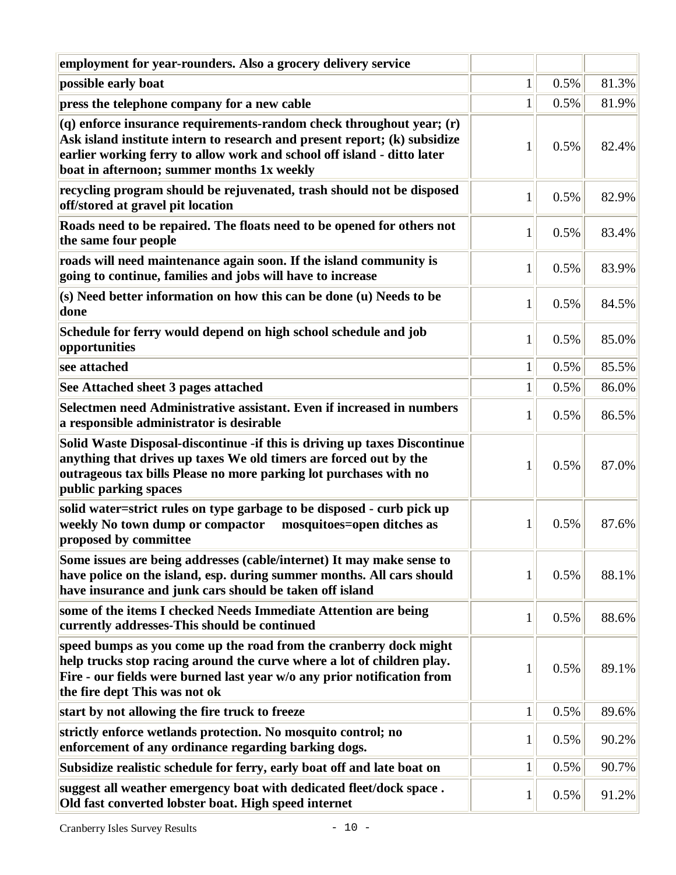| employment for year-rounders. Also a grocery delivery service                                                                                                                                                                                                              |              |      |       |
|----------------------------------------------------------------------------------------------------------------------------------------------------------------------------------------------------------------------------------------------------------------------------|--------------|------|-------|
| possible early boat                                                                                                                                                                                                                                                        | $\mathbf{1}$ | 0.5% | 81.3% |
| press the telephone company for a new cable                                                                                                                                                                                                                                | $\mathbf{1}$ | 0.5% | 81.9% |
| (q) enforce insurance requirements-random check throughout year; (r)<br>Ask island institute intern to research and present report; (k) subsidize<br>earlier working ferry to allow work and school off island - ditto later<br>boat in afternoon; summer months 1x weekly | 1            | 0.5% | 82.4% |
| recycling program should be rejuvenated, trash should not be disposed<br>off/stored at gravel pit location                                                                                                                                                                 | $\mathbf{1}$ | 0.5% | 82.9% |
| Roads need to be repaired. The floats need to be opened for others not<br>the same four people                                                                                                                                                                             | 1            | 0.5% | 83.4% |
| roads will need maintenance again soon. If the island community is<br>going to continue, families and jobs will have to increase                                                                                                                                           | 1            | 0.5% | 83.9% |
| (s) Need better information on how this can be done (u) Needs to be<br>done                                                                                                                                                                                                | 1            | 0.5% | 84.5% |
| Schedule for ferry would depend on high school schedule and job<br>opportunities                                                                                                                                                                                           | 1            | 0.5% | 85.0% |
| see attached                                                                                                                                                                                                                                                               | $\mathbf{1}$ | 0.5% | 85.5% |
| See Attached sheet 3 pages attached                                                                                                                                                                                                                                        | $\mathbf{1}$ | 0.5% | 86.0% |
| Selectmen need Administrative assistant. Even if increased in numbers<br>a responsible administrator is desirable                                                                                                                                                          | 1            | 0.5% | 86.5% |
| Solid Waste Disposal-discontinue -if this is driving up taxes Discontinue<br>anything that drives up taxes We old timers are forced out by the<br>outrageous tax bills Please no more parking lot purchases with no<br>public parking spaces                               | 1            | 0.5% | 87.0% |
| solid water=strict rules on type garbage to be disposed - curb pick up<br>weekly No town dump or compactor<br>mosquitoes=open ditches as<br>proposed by committee                                                                                                          | 1            | 0.5% | 87.6% |
| Some issues are being addresses (cable/internet) It may make sense to<br>have police on the island, esp. during summer months. All cars should<br>have insurance and junk cars should be taken off island                                                                  | 1            | 0.5% | 88.1% |
| some of the items I checked Needs Immediate Attention are being<br>currently addresses-This should be continued                                                                                                                                                            | 1            | 0.5% | 88.6% |
| speed bumps as you come up the road from the cranberry dock might<br>help trucks stop racing around the curve where a lot of children play.<br>Fire - our fields were burned last year w/o any prior notification from<br>the fire dept This was not ok                    | 1            | 0.5% | 89.1% |
| start by not allowing the fire truck to freeze                                                                                                                                                                                                                             | $\mathbf{1}$ | 0.5% | 89.6% |
| strictly enforce wetlands protection. No mosquito control; no<br>enforcement of any ordinance regarding barking dogs.                                                                                                                                                      | 1            | 0.5% | 90.2% |
| Subsidize realistic schedule for ferry, early boat off and late boat on                                                                                                                                                                                                    | $\mathbf{1}$ | 0.5% | 90.7% |
| suggest all weather emergency boat with dedicated fleet/dock space.<br>Old fast converted lobster boat. High speed internet                                                                                                                                                | 1            | 0.5% | 91.2% |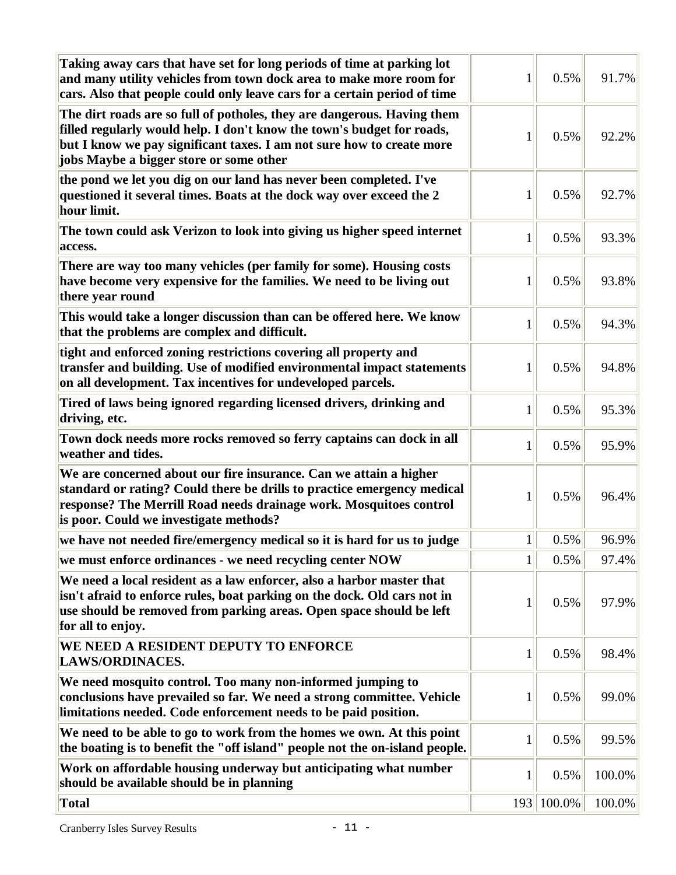| Taking away cars that have set for long periods of time at parking lot<br>and many utility vehicles from town dock area to make more room for<br>cars. Also that people could only leave cars for a certain period of time                                            | 1            | 0.5%       | 91.7%  |
|-----------------------------------------------------------------------------------------------------------------------------------------------------------------------------------------------------------------------------------------------------------------------|--------------|------------|--------|
| The dirt roads are so full of potholes, they are dangerous. Having them<br>filled regularly would help. I don't know the town's budget for roads,<br>but I know we pay significant taxes. I am not sure how to create more<br>jobs Maybe a bigger store or some other | 1            | 0.5%       | 92.2%  |
| the pond we let you dig on our land has never been completed. I've<br>questioned it several times. Boats at the dock way over exceed the 2<br>hour limit.                                                                                                             | 1            | 0.5%       | 92.7%  |
| The town could ask Verizon to look into giving us higher speed internet<br>access.                                                                                                                                                                                    | $\mathbf{1}$ | 0.5%       | 93.3%  |
| There are way too many vehicles (per family for some). Housing costs<br>have become very expensive for the families. We need to be living out<br>there year round                                                                                                     | 1            | 0.5%       | 93.8%  |
| This would take a longer discussion than can be offered here. We know<br>that the problems are complex and difficult.                                                                                                                                                 | $\mathbf{1}$ | 0.5%       | 94.3%  |
| tight and enforced zoning restrictions covering all property and<br>transfer and building. Use of modified environmental impact statements<br>on all development. Tax incentives for undeveloped parcels.                                                             | 1            | 0.5%       | 94.8%  |
| Tired of laws being ignored regarding licensed drivers, drinking and<br>driving, etc.                                                                                                                                                                                 | 1            | 0.5%       | 95.3%  |
| Town dock needs more rocks removed so ferry captains can dock in all<br>weather and tides.                                                                                                                                                                            | 1            | 0.5%       | 95.9%  |
| We are concerned about our fire insurance. Can we attain a higher<br>standard or rating? Could there be drills to practice emergency medical<br>response? The Merrill Road needs drainage work. Mosquitoes control<br>is poor. Could we investigate methods?          | 1            | 0.5%       | 96.4%  |
| we have not needed fire/emergency medical so it is hard for us to judge                                                                                                                                                                                               | $\mathbf{1}$ | 0.5%       | 96.9%  |
| we must enforce ordinances - we need recycling center NOW                                                                                                                                                                                                             | $\mathbf{1}$ | 0.5%       | 97.4%  |
| We need a local resident as a law enforcer, also a harbor master that<br>isn't afraid to enforce rules, boat parking on the dock. Old cars not in<br>use should be removed from parking areas. Open space should be left<br>for all to enjoy.                         | 1            | 0.5%       | 97.9%  |
| WE NEED A RESIDENT DEPUTY TO ENFORCE<br><b>LAWS/ORDINACES.</b>                                                                                                                                                                                                        | $\mathbf{1}$ | 0.5%       | 98.4%  |
| We need mosquito control. Too many non-informed jumping to<br>conclusions have prevailed so far. We need a strong committee. Vehicle<br>limitations needed. Code enforcement needs to be paid position.                                                               | 1            | 0.5%       | 99.0%  |
| We need to be able to go to work from the homes we own. At this point<br>the boating is to benefit the "off island" people not the on-island people.                                                                                                                  | 1            | 0.5%       | 99.5%  |
| Work on affordable housing underway but anticipating what number<br>should be available should be in planning                                                                                                                                                         | 1            | 0.5%       | 100.0% |
| <b>Total</b>                                                                                                                                                                                                                                                          |              | 193 100.0% | 100.0% |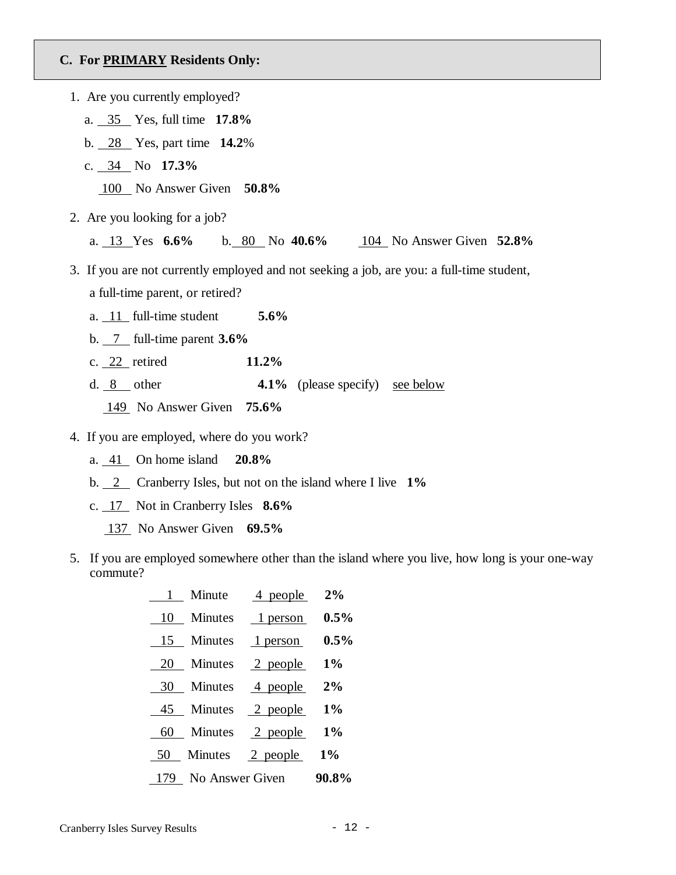#### **C. For PRIMARY Residents Only:**

| 1. Are you currently employed?                                                            |
|-------------------------------------------------------------------------------------------|
| a. $35$ Yes, full time 17.8%                                                              |
| b. $28$ Yes, part time $14.2\%$                                                           |
| c. $34$ No 17.3%                                                                          |
| 100 No Answer Given 50.8%                                                                 |
| 2. Are you looking for a job?                                                             |
| a. 13 Yes $6.6\%$ b. 80 No 40.6% 104 No Answer Given 52.8%                                |
| 3. If you are not currently employed and not seeking a job, are you: a full-time student, |
| a full-time parent, or retired?                                                           |
| a. $11$ full-time student 5.6%                                                            |
| b. $\frac{7}{1}$ full-time parent 3.6%                                                    |
| 11.2%<br>c. $22$ retired                                                                  |
| <b>4.1%</b> (please specify) <u>see below</u><br>d. $8$ other                             |
| $149$ No Answer Given 75.6%                                                               |
| $\Lambda$ If you are applayed where do you weak?                                          |

- 4. If you are employed, where do you work?
	- a. 41 On home island **20.8%**
	- b. 2 Cranberry Isles, but not on the island where I live **1%**
	- c. 17 Not in Cranberry Isles **8.6%**
		- 137 No Answer Given **69.5%**
- 5. If you are employed somewhere other than the island where you live, how long is your one-way commute?

| 1 Minute $\frac{4}{2\%}$ people $2\%$             |
|---------------------------------------------------|
| $\frac{10}{10}$ Minutes $\frac{1}{1}$ person 0.5% |
| 15 Minutes 1 person 0.5%                          |
| 20 Minutes 2 people 1%                            |
| 30 Minutes 4 people 2%                            |
| 45 Minutes 2 people 1%                            |
| 60 Minutes 2 people 1%                            |
| 50 Minutes 2 people 1%                            |
| 179 No Answer Given 90.8%                         |
|                                                   |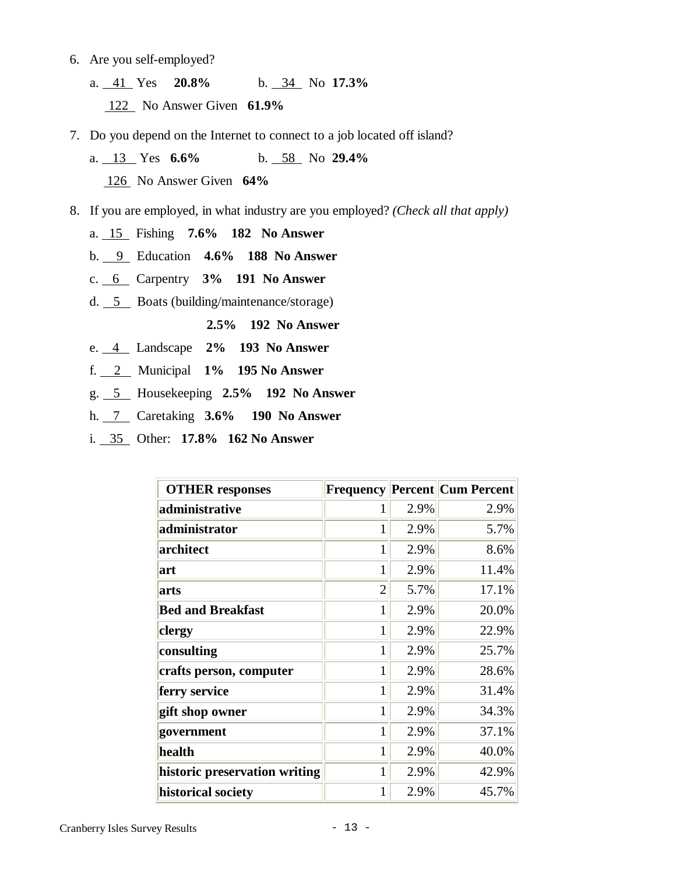- 6. Are you self-employed?
	- a. 41 Yes **20.8%** b. 34 No **17.3%** 122 No Answer Given **61.9%**
- 7. Do you depend on the Internet to connect to a job located off island?
	- a. 13 Yes **6.6%** b. 58 No **29.4%** 126 No Answer Given **64%**
- 8. If you are employed, in what industry are you employed? *(Check all that apply)*
	- a. 15 Fishing **7.6% 182 No Answer**
	- b. 9 Education **4.6% 188 No Answer**
	- c. 6 Carpentry **3% 191 No Answer**
	- d. 5 Boats (building/maintenance/storage)

**2.5% 192 No Answer** 

- e. 4 Landscape **2% 193 No Answer**
- f. 2 Municipal **1% 195 No Answer**
- g. 5 Housekeeping **2.5% 192 No Answer**
- h. 7 Caretaking **3.6% 190 No Answer**
- i. 35 Other: **17.8% 162 No Answer**

| <b>OTHER responses</b>        | <b>Frequency</b> |      | <b>Percent Cum Percent</b> |
|-------------------------------|------------------|------|----------------------------|
| administrative                |                  | 2.9% | 2.9%                       |
| administrator                 |                  | 2.9% | 5.7%                       |
| architect                     | 1                | 2.9% | 8.6%                       |
| art                           | 1                | 2.9% | 11.4%                      |
| arts                          | $\overline{2}$   | 5.7% | 17.1%                      |
| <b>Bed and Breakfast</b>      | $\mathbf{1}$     | 2.9% | 20.0%                      |
| clergy                        | 1                | 2.9% | 22.9%                      |
| consulting                    | 1                | 2.9% | 25.7%                      |
| crafts person, computer       | 1                | 2.9% | 28.6%                      |
| ferry service                 |                  | 2.9% | 31.4%                      |
| gift shop owner               | 1                | 2.9% | 34.3%                      |
| government                    | 1                | 2.9% | 37.1%                      |
| health                        | 1                | 2.9% | 40.0%                      |
| historic preservation writing | 1                | 2.9% | 42.9%                      |
| historical society            |                  | 2.9% | 45.7%                      |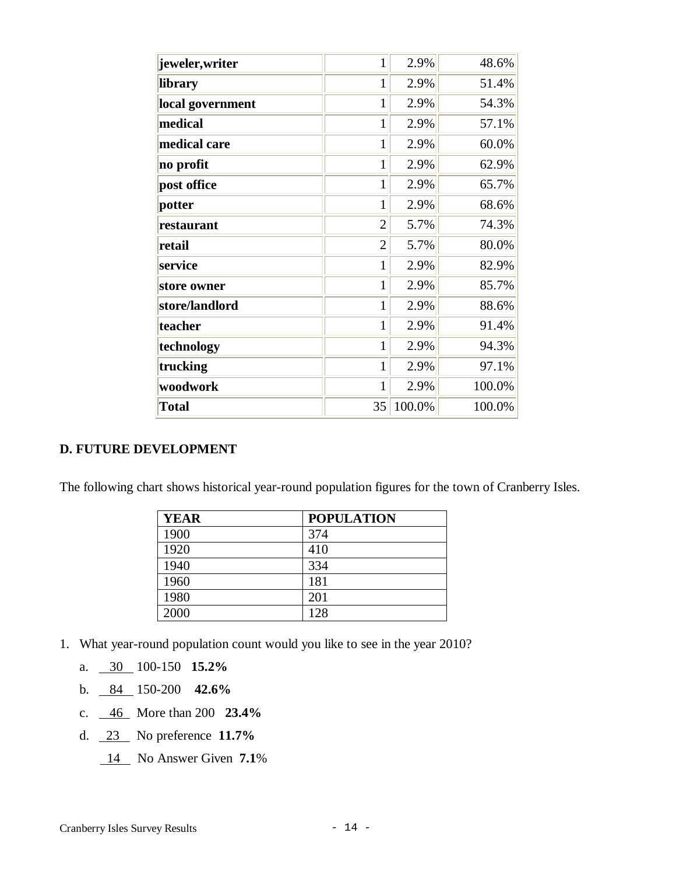| jeweler,writer   | 1              | 2.9%   | 48.6%  |
|------------------|----------------|--------|--------|
| library          | $\mathbf{1}$   | 2.9%   | 51.4%  |
| local government | $\mathbf{1}$   | 2.9%   | 54.3%  |
| medical          | $\mathbf{1}$   | 2.9%   | 57.1%  |
| medical care     | $\mathbf{1}$   | 2.9%   | 60.0%  |
| no profit        | 1              | 2.9%   | 62.9%  |
| post office      | 1              | 2.9%   | 65.7%  |
| potter           | 1              | 2.9%   | 68.6%  |
| restaurant       | $\overline{2}$ | 5.7%   | 74.3%  |
| retail           | $\overline{2}$ | 5.7%   | 80.0%  |
| service          | $\mathbf{1}$   | 2.9%   | 82.9%  |
| store owner      | $\mathbf{1}$   | 2.9%   | 85.7%  |
| store/landlord   | $\mathbf{1}$   | 2.9%   | 88.6%  |
| teacher          | 1              | 2.9%   | 91.4%  |
| technology       | $\mathbf{1}$   | 2.9%   | 94.3%  |
| trucking         | $\mathbf{1}$   | 2.9%   | 97.1%  |
| woodwork         | $\mathbf{1}$   | 2.9%   | 100.0% |
| <b>Total</b>     | 35             | 100.0% | 100.0% |

#### **D. FUTURE DEVELOPMENT**

The following chart shows historical year-round population figures for the town of Cranberry Isles.

| <b>YEAR</b> | <b>POPULATION</b> |
|-------------|-------------------|
| 1900        | 374               |
| 1920        | 410               |
| 1940        | 334               |
| 1960        | 181               |
| 1980        | 201               |
| 2000        | 128               |

- 1. What year-round population count would you like to see in the year 2010?
	- a. 30 100-150 **15.2%**
	- b. 84 150-200 **42.6%**
	- c. 46 More than 200 **23.4%**
	- d. 23 No preference **11.7%**
		- 14 No Answer Given **7.1**%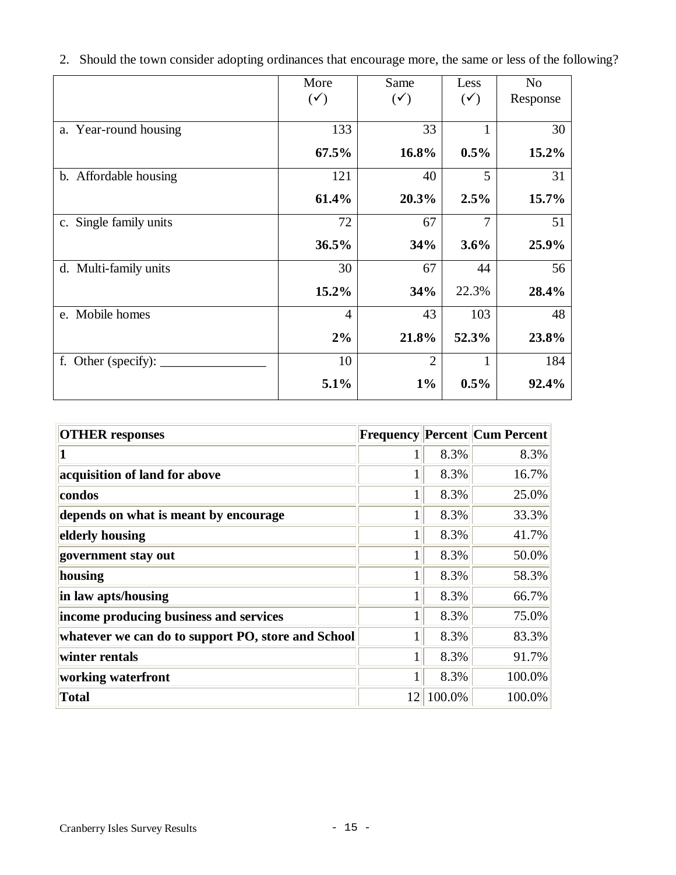|                        | More           | Same           | Less           | N <sub>o</sub> |
|------------------------|----------------|----------------|----------------|----------------|
|                        | $(\checkmark)$ | $(\checkmark)$ | $(\checkmark)$ | Response       |
|                        |                |                |                |                |
| a. Year-round housing  | 133            | 33             |                | 30             |
|                        | 67.5%          | 16.8%          | $0.5\%$        | 15.2%          |
| b. Affordable housing  | 121            | 40             | 5              | 31             |
|                        | 61.4%          | 20.3%          | 2.5%           | 15.7%          |
| c. Single family units | 72             | 67             | $\overline{7}$ | 51             |
|                        | 36.5%          | 34%            | 3.6%           | 25.9%          |
| d. Multi-family units  | 30             | 67             | 44             | 56             |
|                        | 15.2%          | 34%            | 22.3%          | 28.4%          |
| e. Mobile homes        | $\overline{4}$ | 43             | 103            | 48             |
|                        | 2%             | 21.8%          | 52.3%          | 23.8%          |
| f. Other (specify):    | 10             | $\overline{2}$ | 1              | 184            |
|                        | 5.1%           | $1\%$          | 0.5%           | 92.4%          |

2. Should the town consider adopting ordinances that encourage more, the same or less of the following?

| <b>OTHER</b> responses                             |              |        | <b>Frequency Percent Cum Percent</b> |
|----------------------------------------------------|--------------|--------|--------------------------------------|
|                                                    |              | 8.3%   | 8.3%                                 |
| acquisition of land for above                      |              | 8.3%   | 16.7%                                |
| condos                                             | 1            | 8.3%   | 25.0%                                |
| depends on what is meant by encourage              | $\mathbf{1}$ | 8.3%   | 33.3%                                |
| elderly housing                                    | 1            | 8.3%   | 41.7%                                |
| government stay out                                | 1            | 8.3%   | 50.0%                                |
| housing                                            | $\mathbf{1}$ | 8.3%   | 58.3%                                |
| in law apts/housing                                | 1            | 8.3%   | 66.7%                                |
| income producing business and services             | 1            | 8.3%   | 75.0%                                |
| whatever we can do to support PO, store and School | $\mathbf{1}$ | 8.3%   | 83.3%                                |
| winter rentals                                     | 1            | 8.3%   | 91.7%                                |
| working waterfront                                 | $\mathbf{1}$ | 8.3%   | 100.0%                               |
| <b>Total</b>                                       | 12           | 100.0% | 100.0%                               |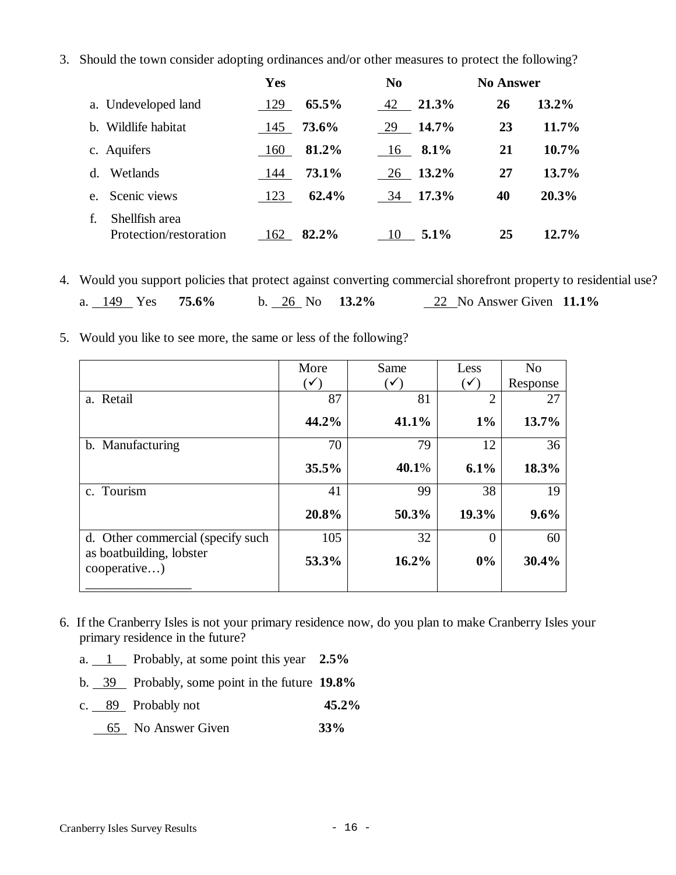3. Should the town consider adopting ordinances and/or other measures to protect the following?

|                                                | Yes |       | N <sub>0</sub> | <b>No Answer</b> |          |
|------------------------------------------------|-----|-------|----------------|------------------|----------|
| a. Undeveloped land                            | 129 | 65.5% | 21.3%<br>42    | 26               | 13.2%    |
| Wildlife habitat<br>b.                         | 145 | 73.6% | 14.7%<br>29    | 23               | 11.7%    |
| c. Aquifers                                    | 160 | 81.2% | 8.1%<br>16     | 21               | $10.7\%$ |
| Wetlands<br>d.                                 | 144 | 73.1% | 13.2%<br>26    | 27               | 13.7%    |
| Scenic views<br>e.                             | 123 | 62.4% | 17.3%<br>34    | 40               | 20.3%    |
| Shellfish area<br>f.<br>Protection/restoration | 162 | 82.2% | $5.1\%$<br>10  | 25               | $12.7\%$ |

4. Would you support policies that protect against converting commercial shorefront property to residential use?

|  |  | a. $149$ Yes $75.6\%$ |  |  |  |  | b. 26 No $13.2\%$ |  | 22 No Answer Given 11.1% |  |  |
|--|--|-----------------------|--|--|--|--|-------------------|--|--------------------------|--|--|
|--|--|-----------------------|--|--|--|--|-------------------|--|--------------------------|--|--|

5. Would you like to see more, the same or less of the following?

|                                          | More           | Same           | Less           | N <sub>o</sub> |
|------------------------------------------|----------------|----------------|----------------|----------------|
|                                          | $(\checkmark)$ | $(\checkmark)$ | $(\checkmark)$ | Response       |
| a. Retail                                | 87             | 81             | $\mathcal{D}$  | 27             |
|                                          | 44.2%          | 41.1%          | $1\%$          | 13.7%          |
| b. Manufacturing                         | 70             | 79             | 12             | 36             |
|                                          | 35.5%          | 40.1%          | 6.1%           | 18.3%          |
| c. Tourism                               | 41             | 99             | 38             | 19             |
|                                          | 20.8%          | 50.3%          | 19.3%          | 9.6%           |
| d. Other commercial (specify such        | 105            | 32             |                | 60             |
| as boatbuilding, lobster<br>cooperative) | 53.3%          | 16.2%          | 0%             | 30.4%          |
|                                          |                |                |                |                |

- 6. If the Cranberry Isles is not your primary residence now, do you plan to make Cranberry Isles your primary residence in the future?
	- a. 1 Probably, at some point this year **2.5%**
	- b. 39 Probably, some point in the future **19.8%**
	- c. 89 Probably not **45.2%**
		- 65 No Answer Given **33%**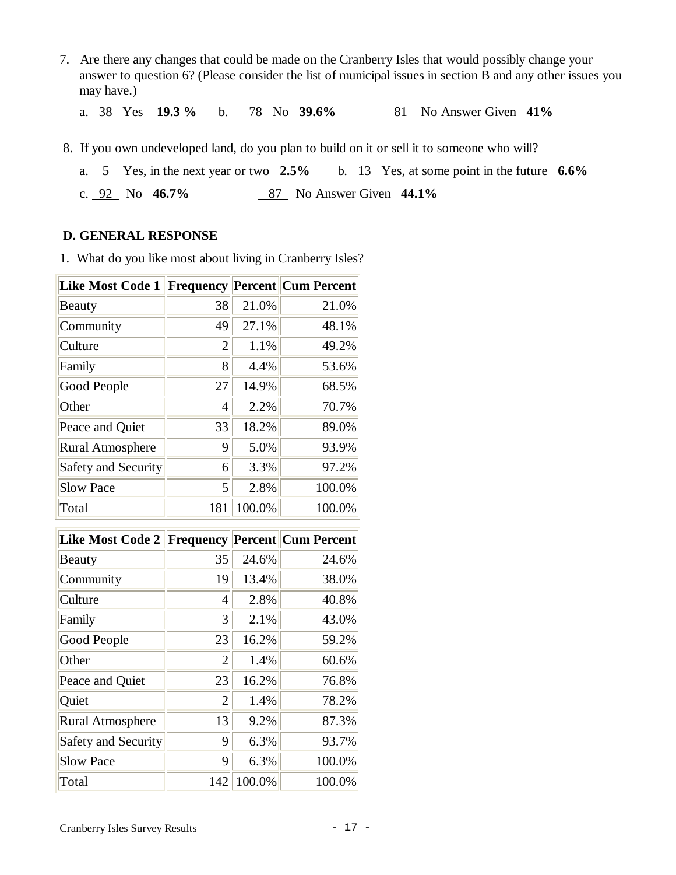7. Are there any changes that could be made on the Cranberry Isles that would possibly change your answer to question 6? (Please consider the list of municipal issues in section B and any other issues you may have.)

a. 38 Yes **19.3 %** b. 78 No **39.6%** 81 No Answer Given **41%**

- 8. If you own undeveloped land, do you plan to build on it or sell it to someone who will?
	- a. 5 Yes, in the next year or two **2.5%** b. 13 Yes, at some point in the future **6.6%**
	- c. 92 No **46.7%** 87 No Answer Given **44.1%**

#### **D. GENERAL RESPONSE**

1. What do you like most about living in Cranberry Isles?

| <b>Like Most Code 1</b> |                |        | <b>Frequency Percent Cum Percent</b> |
|-------------------------|----------------|--------|--------------------------------------|
| Beauty                  | 38             | 21.0%  | 21.0%                                |
| Community               | 49             | 27.1%  | 48.1%                                |
| Culture                 | $\overline{2}$ | 1.1%   | 49.2%                                |
| Family                  | 8              | 4.4%   | 53.6%                                |
| Good People             | 27             | 14.9%  | 68.5%                                |
| Other                   | 4              | 2.2%   | 70.7%                                |
| Peace and Quiet         | 33             | 18.2%  | 89.0%                                |
| <b>Rural Atmosphere</b> | 9              | 5.0%   | 93.9%                                |
| Safety and Security     | 6              | 3.3%   | 97.2%                                |
| <b>Slow Pace</b>        | 5              | 2.8%   | 100.0%                               |
| Total                   | 181            | 100.0% | 100.0%                               |

| <b>Like Most Code 2</b>    |                |        | <b>Frequency Percent Cum Percent</b> |
|----------------------------|----------------|--------|--------------------------------------|
| Beauty                     | 35             | 24.6%  | 24.6%                                |
| Community                  | 19             | 13.4%  | 38.0%                                |
| Culture                    | 4              | 2.8%   | 40.8%                                |
| Family                     | 3              | 2.1%   | 43.0%                                |
| Good People                | 23             | 16.2%  | 59.2%                                |
| Other                      | $\overline{2}$ | 1.4%   | 60.6%                                |
| Peace and Quiet            | 23             | 16.2%  | 76.8%                                |
| Quiet                      | $\overline{2}$ | 1.4%   | 78.2%                                |
| <b>Rural Atmosphere</b>    | 13             | 9.2%   | 87.3%                                |
| <b>Safety and Security</b> | 9              | 6.3%   | 93.7%                                |
| <b>Slow Pace</b>           | 9              | 6.3%   | 100.0%                               |
| Total                      | 142            | 100.0% | 100.0%                               |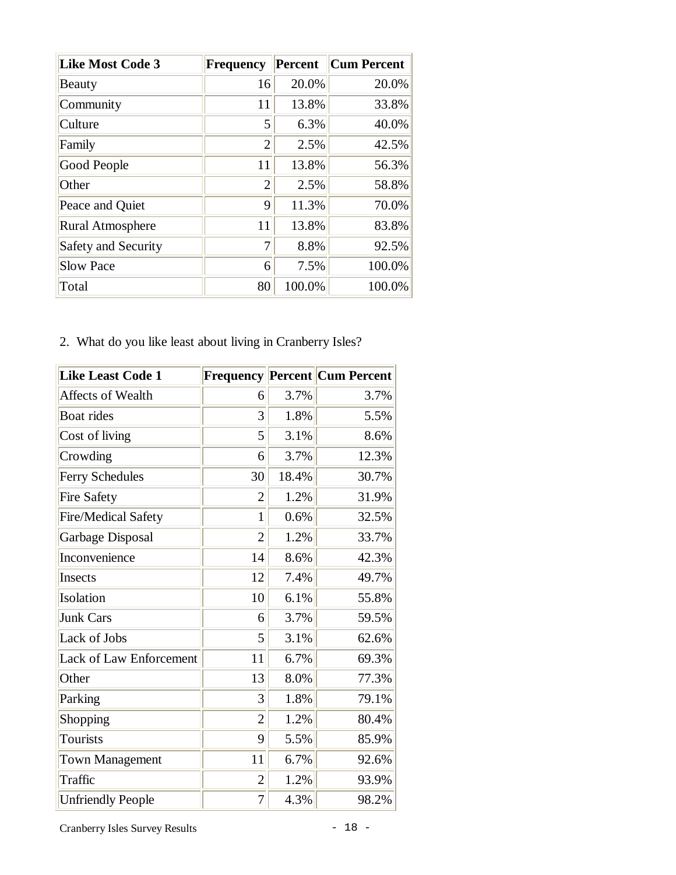| <b>Like Most Code 3</b>    | Frequency      | <b>Percent</b> | <b>Cum Percent</b> |
|----------------------------|----------------|----------------|--------------------|
| Beauty                     | 16             | 20.0%          | 20.0%              |
| Community                  | 11             | 13.8%          | 33.8%              |
| Culture                    | 5              | 6.3%           | 40.0%              |
| Family                     | $\overline{2}$ | 2.5%           | 42.5%              |
| Good People                | 11             | 13.8%          | 56.3%              |
| Other                      | $\overline{2}$ | 2.5%           | 58.8%              |
| Peace and Quiet            | 9              | 11.3%          | 70.0%              |
| <b>Rural Atmosphere</b>    | 11             | 13.8%          | 83.8%              |
| <b>Safety and Security</b> | 7              | 8.8%           | 92.5%              |
| <b>Slow Pace</b>           | 6              | 7.5%           | 100.0%             |
| Total                      | 80             | 100.0%         | 100.0%             |

2. What do you like least about living in Cranberry Isles?

| <b>Like Least Code 1</b>       |                |       | <b>Frequency Percent Cum Percent</b> |
|--------------------------------|----------------|-------|--------------------------------------|
| Affects of Wealth              | 6              | 3.7%  | 3.7%                                 |
| Boat rides                     | 3              | 1.8%  | 5.5%                                 |
| Cost of living                 | 5              | 3.1%  | 8.6%                                 |
| Crowding                       | 6              | 3.7%  | 12.3%                                |
| Ferry Schedules                | 30             | 18.4% | 30.7%                                |
| Fire Safety                    | 2              | 1.2%  | 31.9%                                |
| Fire/Medical Safety            | $\mathbf{1}$   | 0.6%  | 32.5%                                |
| Garbage Disposal               | $\overline{2}$ | 1.2%  | 33.7%                                |
| Inconvenience                  | 14             | 8.6%  | 42.3%                                |
| Insects                        | 12             | 7.4%  | 49.7%                                |
| Isolation                      | 10             | 6.1%  | 55.8%                                |
| <b>Junk Cars</b>               | 6              | 3.7%  | 59.5%                                |
| Lack of Jobs                   | 5              | 3.1%  | 62.6%                                |
| <b>Lack of Law Enforcement</b> | 11             | 6.7%  | 69.3%                                |
| Other                          | 13             | 8.0%  | 77.3%                                |
| Parking                        | 3              | 1.8%  | 79.1%                                |
| Shopping                       | $\overline{2}$ | 1.2%  | 80.4%                                |
| <b>Tourists</b>                | 9              | 5.5%  | 85.9%                                |
| <b>Town Management</b>         | 11             | 6.7%  | 92.6%                                |
| Traffic                        | $\overline{2}$ | 1.2%  | 93.9%                                |
| <b>Unfriendly People</b>       | 7              | 4.3%  | 98.2%                                |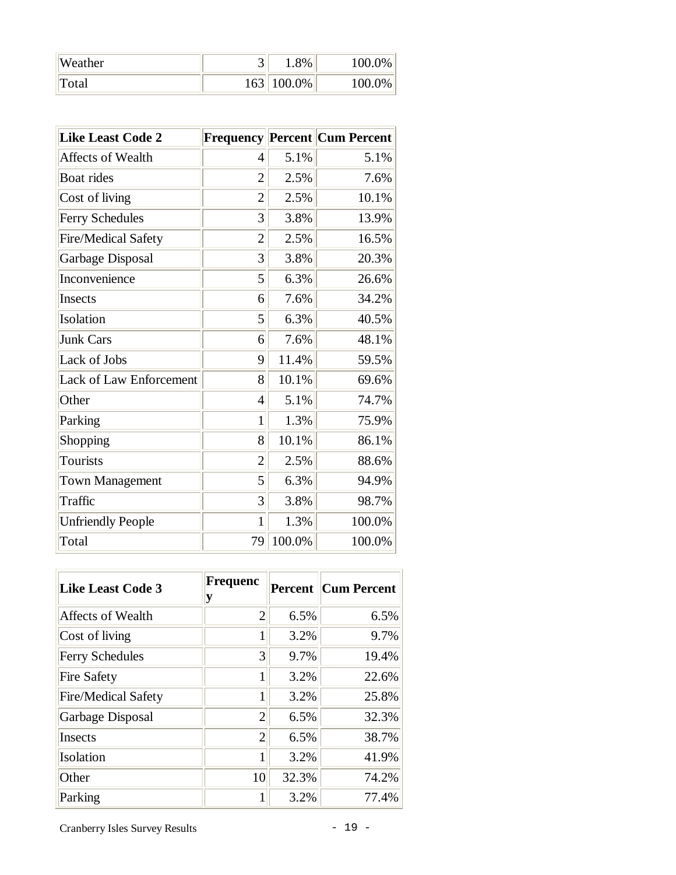| Weather |     | $1.8\%$       | 100.0% |
|---------|-----|---------------|--------|
| Total   | 163 | $\pm 100.0\%$ | 100.0% |

| <b>Like Least Code 2</b>       |                |        | Frequency Percent Cum Percent |
|--------------------------------|----------------|--------|-------------------------------|
| Affects of Wealth              | 4              | 5.1%   | 5.1%                          |
| Boat rides                     | $\overline{2}$ | 2.5%   | 7.6%                          |
| Cost of living                 | 2              | 2.5%   | 10.1%                         |
| <b>Ferry Schedules</b>         | 3              | 3.8%   | 13.9%                         |
| <b>Fire/Medical Safety</b>     | $\overline{2}$ | 2.5%   | 16.5%                         |
| Garbage Disposal               | 3              | 3.8%   | 20.3%                         |
| Inconvenience                  | 5              | 6.3%   | 26.6%                         |
| Insects                        | 6              | 7.6%   | 34.2%                         |
| Isolation                      | 5              | 6.3%   | 40.5%                         |
| <b>Junk Cars</b>               | 6              | 7.6%   | 48.1%                         |
| Lack of Jobs                   | 9              | 11.4%  | 59.5%                         |
| <b>Lack of Law Enforcement</b> | 8              | 10.1%  | 69.6%                         |
| Other                          | 4              | 5.1%   | 74.7%                         |
| Parking                        | $\mathbf{1}$   | 1.3%   | 75.9%                         |
| Shopping                       | 8              | 10.1%  | 86.1%                         |
| <b>Tourists</b>                | $\overline{2}$ | 2.5%   | 88.6%                         |
| <b>Town Management</b>         | 5              | 6.3%   | 94.9%                         |
| Traffic                        | 3              | 3.8%   | 98.7%                         |
| <b>Unfriendly People</b>       | 1              | 1.3%   | 100.0%                        |
| Total                          | 79             | 100.0% | 100.0%                        |

| <b>Like Least Code 3</b> | Frequenc<br>у  |       | <b>Percent Cum Percent</b> |
|--------------------------|----------------|-------|----------------------------|
| <b>Affects of Wealth</b> | $\overline{2}$ | 6.5%  | 6.5%                       |
| Cost of living           | 1              | 3.2%  | 9.7%                       |
| <b>Ferry Schedules</b>   | 3              | 9.7%  | 19.4%                      |
| <b>Fire Safety</b>       | 1              | 3.2%  | 22.6%                      |
| Fire/Medical Safety      | 1              | 3.2%  | 25.8%                      |
| Garbage Disposal         | 2              | 6.5%  | 32.3%                      |
| Insects                  | $\overline{2}$ | 6.5%  | 38.7%                      |
| Isolation                | 1              | 3.2%  | 41.9%                      |
| Other                    | 10             | 32.3% | 74.2%                      |
| Parking                  | 1              | 3.2%  | 77.4%                      |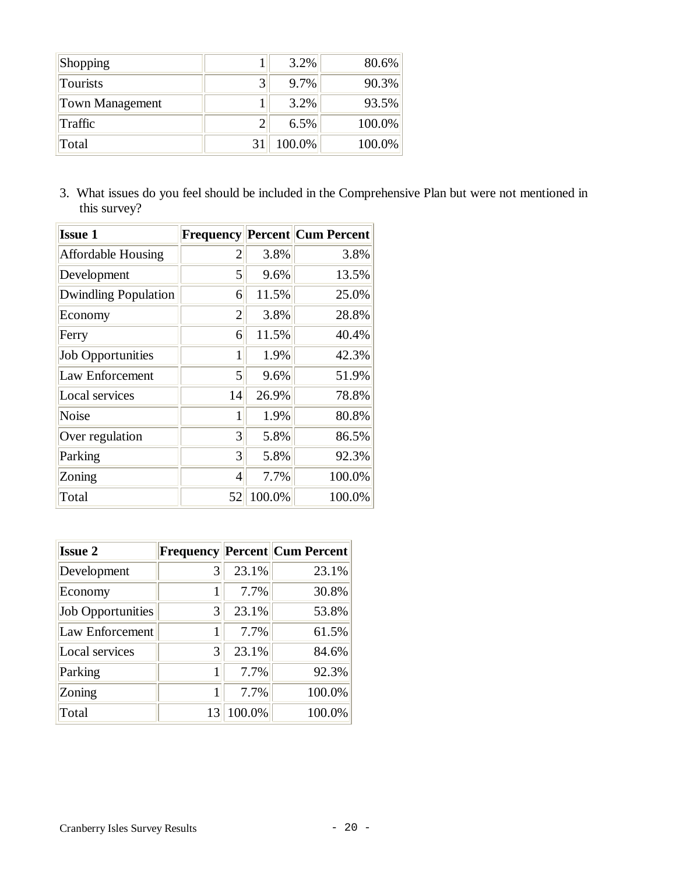| Shopping        |   | $3.2\%$ | 80.6%  |
|-----------------|---|---------|--------|
| Tourists        | 3 | 9.7%    | 90.3%  |
| Town Management |   | 3.2%    | 93.5%  |
| Traffic         | 2 | $6.5\%$ | 100.0% |
| Total           |   | 100.0%  | 100.0% |

3. What issues do you feel should be included in the Comprehensive Plan but were not mentioned in this survey?

| <b>Issue 1</b>              |                |        | <b>Frequency Percent Cum Percent</b> |
|-----------------------------|----------------|--------|--------------------------------------|
| <b>Affordable Housing</b>   | 2              | 3.8%   | 3.8%                                 |
| Development                 | 5              | 9.6%   | 13.5%                                |
| <b>Dwindling Population</b> | 6              | 11.5%  | 25.0%                                |
| Economy                     | 2              | 3.8%   | 28.8%                                |
| Ferry                       | 6              | 11.5%  | 40.4%                                |
| <b>Job Opportunities</b>    | 1              | 1.9%   | 42.3%                                |
| <b>Law Enforcement</b>      | 5              | 9.6%   | 51.9%                                |
| Local services              | 14             | 26.9%  | 78.8%                                |
| <b>Noise</b>                | 1              | 1.9%   | 80.8%                                |
| Over regulation             | 3              | 5.8%   | 86.5%                                |
| Parking                     | $\overline{3}$ | 5.8%   | 92.3%                                |
| Zoning                      | 4              | 7.7%   | 100.0%                               |
| Total                       | 52             | 100.0% | 100.0%                               |

| <b>Issue 2</b>           |    |        | <b>Frequency Percent Cum Percent</b> |
|--------------------------|----|--------|--------------------------------------|
| Development              | 3  | 23.1%  | 23.1%                                |
| Economy                  |    | 7.7%   | 30.8%                                |
| <b>Job Opportunities</b> | 3  | 23.1%  | 53.8%                                |
| Law Enforcement          |    | 7.7%   | 61.5%                                |
| Local services           | 3  | 23.1%  | 84.6%                                |
| Parking                  | 1  | 7.7%   | 92.3%                                |
| Zoning                   | 1  | 7.7%   | 100.0%                               |
| Total                    | 13 | 100.0% | 100.0%                               |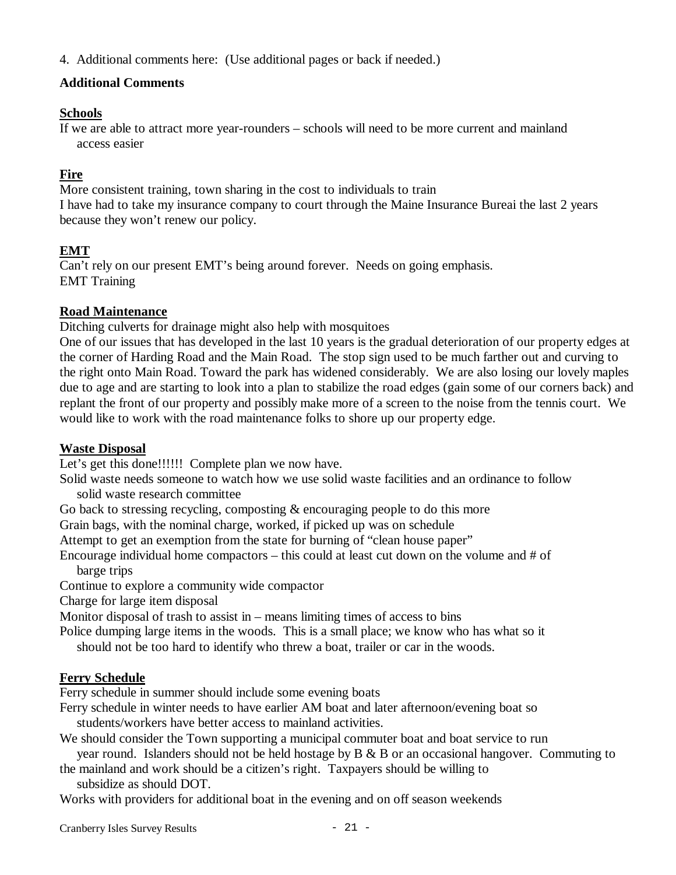4. Additional comments here: (Use additional pages or back if needed.)

## **Additional Comments**

## **Schools**

If we are able to attract more year-rounders – schools will need to be more current and mainland access easier

# **Fire**

More consistent training, town sharing in the cost to individuals to train I have had to take my insurance company to court through the Maine Insurance Bureai the last 2 years because they won't renew our policy.

## **EMT**

Can't rely on our present EMT's being around forever. Needs on going emphasis. EMT Training

### **Road Maintenance**

Ditching culverts for drainage might also help with mosquitoes

One of our issues that has developed in the last 10 years is the gradual deterioration of our property edges at the corner of Harding Road and the Main Road. The stop sign used to be much farther out and curving to the right onto Main Road. Toward the park has widened considerably. We are also losing our lovely maples due to age and are starting to look into a plan to stabilize the road edges (gain some of our corners back) and replant the front of our property and possibly make more of a screen to the noise from the tennis court. We would like to work with the road maintenance folks to shore up our property edge.

### **Waste Disposal**

Let's get this done!!!!!!! Complete plan we now have.

Solid waste needs someone to watch how we use solid waste facilities and an ordinance to follow

solid waste research committee

Go back to stressing recycling, composting & encouraging people to do this more

Grain bags, with the nominal charge, worked, if picked up was on schedule

Attempt to get an exemption from the state for burning of "clean house paper"

Encourage individual home compactors – this could at least cut down on the volume and # of barge trips

Continue to explore a community wide compactor

Charge for large item disposal

Monitor disposal of trash to assist in – means limiting times of access to bins

Police dumping large items in the woods. This is a small place; we know who has what so it

should not be too hard to identify who threw a boat, trailer or car in the woods.

### **Ferry Schedule**

Ferry schedule in summer should include some evening boats

Ferry schedule in winter needs to have earlier AM boat and later afternoon/evening boat so students/workers have better access to mainland activities.

We should consider the Town supporting a municipal commuter boat and boat service to run

year round. Islanders should not be held hostage by B & B or an occasional hangover. Commuting to

the mainland and work should be a citizen's right. Taxpayers should be willing to subsidize as should DOT.

Works with providers for additional boat in the evening and on off season weekends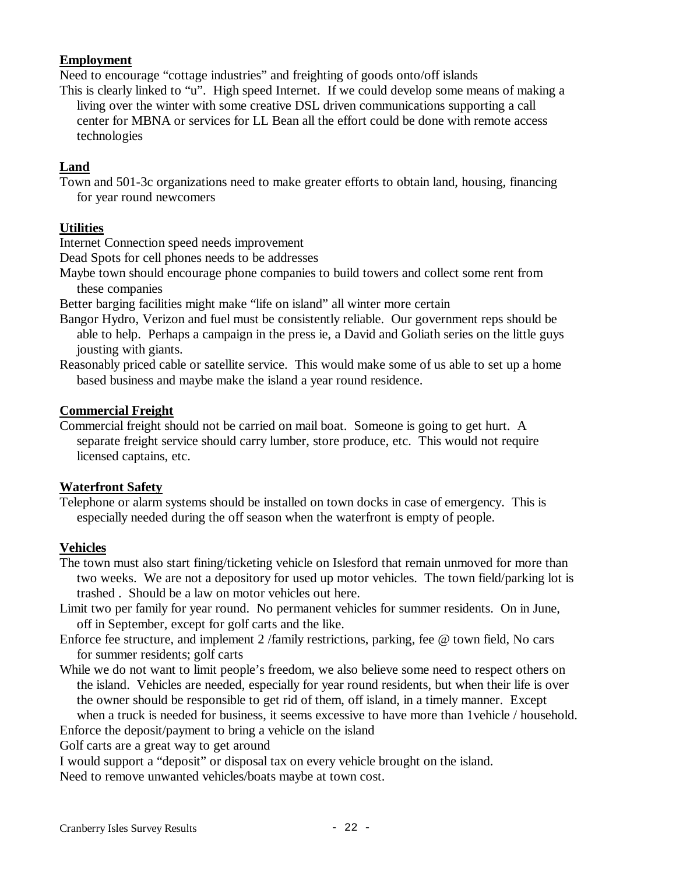## **Employment**

Need to encourage "cottage industries" and freighting of goods onto/off islands

This is clearly linked to "u". High speed Internet. If we could develop some means of making a living over the winter with some creative DSL driven communications supporting a call center for MBNA or services for LL Bean all the effort could be done with remote access technologies

# **Land**

Town and 501-3c organizations need to make greater efforts to obtain land, housing, financing for year round newcomers

# **Utilities**

Internet Connection speed needs improvement

Dead Spots for cell phones needs to be addresses

Maybe town should encourage phone companies to build towers and collect some rent from these companies

Better barging facilities might make "life on island" all winter more certain

Bangor Hydro, Verizon and fuel must be consistently reliable. Our government reps should be able to help. Perhaps a campaign in the press ie, a David and Goliath series on the little guys jousting with giants.

Reasonably priced cable or satellite service. This would make some of us able to set up a home based business and maybe make the island a year round residence.

## **Commercial Freight**

Commercial freight should not be carried on mail boat. Someone is going to get hurt. A separate freight service should carry lumber, store produce, etc. This would not require licensed captains, etc.

### **Waterfront Safety**

Telephone or alarm systems should be installed on town docks in case of emergency. This is especially needed during the off season when the waterfront is empty of people.

### **Vehicles**

The town must also start fining/ticketing vehicle on Islesford that remain unmoved for more than two weeks. We are not a depository for used up motor vehicles. The town field/parking lot is trashed . Should be a law on motor vehicles out here.

Limit two per family for year round. No permanent vehicles for summer residents. On in June, off in September, except for golf carts and the like.

Enforce fee structure, and implement 2 /family restrictions, parking, fee @ town field, No cars for summer residents; golf carts

- While we do not want to limit people's freedom, we also believe some need to respect others on the island. Vehicles are needed, especially for year round residents, but when their life is over the owner should be responsible to get rid of them, off island, in a timely manner. Except when a truck is needed for business, it seems excessive to have more than 1vehicle / household.
- Enforce the deposit/payment to bring a vehicle on the island

Golf carts are a great way to get around

I would support a "deposit" or disposal tax on every vehicle brought on the island.

Need to remove unwanted vehicles/boats maybe at town cost.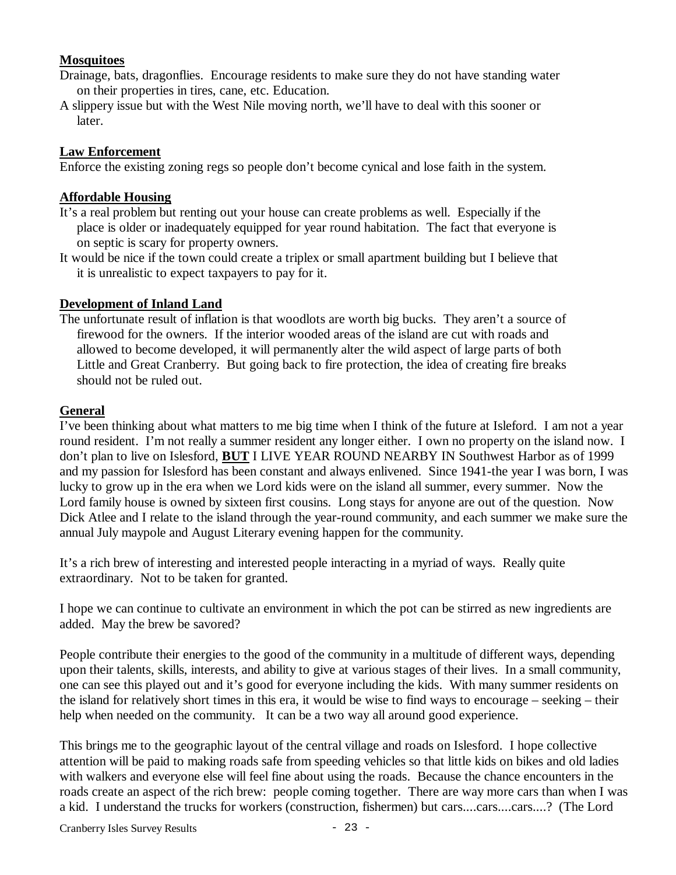### **Mosquitoes**

- Drainage, bats, dragonflies. Encourage residents to make sure they do not have standing water on their properties in tires, cane, etc. Education.
- A slippery issue but with the West Nile moving north, we'll have to deal with this sooner or later.

#### **Law Enforcement**

Enforce the existing zoning regs so people don't become cynical and lose faith in the system.

#### **Affordable Housing**

- It's a real problem but renting out your house can create problems as well. Especially if the place is older or inadequately equipped for year round habitation. The fact that everyone is on septic is scary for property owners.
- It would be nice if the town could create a triplex or small apartment building but I believe that it is unrealistic to expect taxpayers to pay for it.

#### **Development of Inland Land**

The unfortunate result of inflation is that woodlots are worth big bucks. They aren't a source of firewood for the owners. If the interior wooded areas of the island are cut with roads and allowed to become developed, it will permanently alter the wild aspect of large parts of both Little and Great Cranberry. But going back to fire protection, the idea of creating fire breaks should not be ruled out.

#### **General**

I've been thinking about what matters to me big time when I think of the future at Isleford. I am not a year round resident. I'm not really a summer resident any longer either. I own no property on the island now. I don't plan to live on Islesford, **BUT** I LIVE YEAR ROUND NEARBY IN Southwest Harbor as of 1999 and my passion for Islesford has been constant and always enlivened. Since 1941-the year I was born, I was lucky to grow up in the era when we Lord kids were on the island all summer, every summer. Now the Lord family house is owned by sixteen first cousins. Long stays for anyone are out of the question. Now Dick Atlee and I relate to the island through the year-round community, and each summer we make sure the annual July maypole and August Literary evening happen for the community.

It's a rich brew of interesting and interested people interacting in a myriad of ways. Really quite extraordinary. Not to be taken for granted.

I hope we can continue to cultivate an environment in which the pot can be stirred as new ingredients are added. May the brew be savored?

People contribute their energies to the good of the community in a multitude of different ways, depending upon their talents, skills, interests, and ability to give at various stages of their lives. In a small community, one can see this played out and it's good for everyone including the kids. With many summer residents on the island for relatively short times in this era, it would be wise to find ways to encourage – seeking – their help when needed on the community. It can be a two way all around good experience.

This brings me to the geographic layout of the central village and roads on Islesford. I hope collective attention will be paid to making roads safe from speeding vehicles so that little kids on bikes and old ladies with walkers and everyone else will feel fine about using the roads. Because the chance encounters in the roads create an aspect of the rich brew: people coming together. There are way more cars than when I was a kid. I understand the trucks for workers (construction, fishermen) but cars....cars....cars....? (The Lord